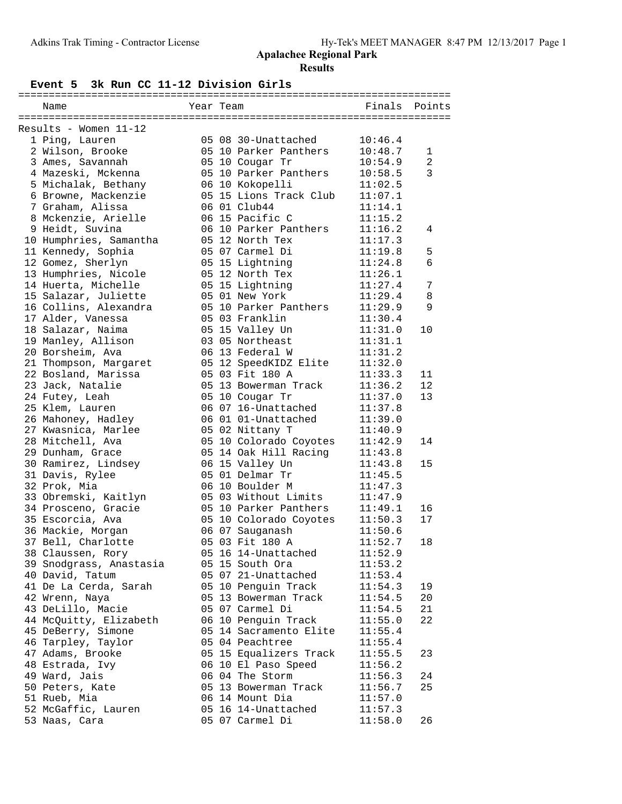#### **Event 5 3k Run CC 11-12 Division Girls**

| Name |                                                                                                                                                                                                                                                                                                                                                                                                                                                                                                                                                                                                                                                                                                                                                                                                                                                                                                                                                                                                                                                                                                                                                                                              |  | Finals                                                                                                                                                                                                                                                                                                                                                                                                                                                                                                                                                                                                                                                                                                                                                                                                                                                                                                                                                                                                                          | Points                                                                                                                                                                                                                  |
|------|----------------------------------------------------------------------------------------------------------------------------------------------------------------------------------------------------------------------------------------------------------------------------------------------------------------------------------------------------------------------------------------------------------------------------------------------------------------------------------------------------------------------------------------------------------------------------------------------------------------------------------------------------------------------------------------------------------------------------------------------------------------------------------------------------------------------------------------------------------------------------------------------------------------------------------------------------------------------------------------------------------------------------------------------------------------------------------------------------------------------------------------------------------------------------------------------|--|---------------------------------------------------------------------------------------------------------------------------------------------------------------------------------------------------------------------------------------------------------------------------------------------------------------------------------------------------------------------------------------------------------------------------------------------------------------------------------------------------------------------------------------------------------------------------------------------------------------------------------------------------------------------------------------------------------------------------------------------------------------------------------------------------------------------------------------------------------------------------------------------------------------------------------------------------------------------------------------------------------------------------------|-------------------------------------------------------------------------------------------------------------------------------------------------------------------------------------------------------------------------|
|      |                                                                                                                                                                                                                                                                                                                                                                                                                                                                                                                                                                                                                                                                                                                                                                                                                                                                                                                                                                                                                                                                                                                                                                                              |  |                                                                                                                                                                                                                                                                                                                                                                                                                                                                                                                                                                                                                                                                                                                                                                                                                                                                                                                                                                                                                                 |                                                                                                                                                                                                                         |
|      |                                                                                                                                                                                                                                                                                                                                                                                                                                                                                                                                                                                                                                                                                                                                                                                                                                                                                                                                                                                                                                                                                                                                                                                              |  |                                                                                                                                                                                                                                                                                                                                                                                                                                                                                                                                                                                                                                                                                                                                                                                                                                                                                                                                                                                                                                 |                                                                                                                                                                                                                         |
|      |                                                                                                                                                                                                                                                                                                                                                                                                                                                                                                                                                                                                                                                                                                                                                                                                                                                                                                                                                                                                                                                                                                                                                                                              |  | 10:46.4                                                                                                                                                                                                                                                                                                                                                                                                                                                                                                                                                                                                                                                                                                                                                                                                                                                                                                                                                                                                                         |                                                                                                                                                                                                                         |
|      |                                                                                                                                                                                                                                                                                                                                                                                                                                                                                                                                                                                                                                                                                                                                                                                                                                                                                                                                                                                                                                                                                                                                                                                              |  | 10:48.7                                                                                                                                                                                                                                                                                                                                                                                                                                                                                                                                                                                                                                                                                                                                                                                                                                                                                                                                                                                                                         | $\mathbf{1}$                                                                                                                                                                                                            |
|      |                                                                                                                                                                                                                                                                                                                                                                                                                                                                                                                                                                                                                                                                                                                                                                                                                                                                                                                                                                                                                                                                                                                                                                                              |  | 10:54.9                                                                                                                                                                                                                                                                                                                                                                                                                                                                                                                                                                                                                                                                                                                                                                                                                                                                                                                                                                                                                         | $\overline{a}$                                                                                                                                                                                                          |
|      |                                                                                                                                                                                                                                                                                                                                                                                                                                                                                                                                                                                                                                                                                                                                                                                                                                                                                                                                                                                                                                                                                                                                                                                              |  | 10:58.5                                                                                                                                                                                                                                                                                                                                                                                                                                                                                                                                                                                                                                                                                                                                                                                                                                                                                                                                                                                                                         | 3                                                                                                                                                                                                                       |
|      |                                                                                                                                                                                                                                                                                                                                                                                                                                                                                                                                                                                                                                                                                                                                                                                                                                                                                                                                                                                                                                                                                                                                                                                              |  | 11:02.5                                                                                                                                                                                                                                                                                                                                                                                                                                                                                                                                                                                                                                                                                                                                                                                                                                                                                                                                                                                                                         |                                                                                                                                                                                                                         |
|      |                                                                                                                                                                                                                                                                                                                                                                                                                                                                                                                                                                                                                                                                                                                                                                                                                                                                                                                                                                                                                                                                                                                                                                                              |  | 11:07.1                                                                                                                                                                                                                                                                                                                                                                                                                                                                                                                                                                                                                                                                                                                                                                                                                                                                                                                                                                                                                         |                                                                                                                                                                                                                         |
|      |                                                                                                                                                                                                                                                                                                                                                                                                                                                                                                                                                                                                                                                                                                                                                                                                                                                                                                                                                                                                                                                                                                                                                                                              |  | 11:14.1                                                                                                                                                                                                                                                                                                                                                                                                                                                                                                                                                                                                                                                                                                                                                                                                                                                                                                                                                                                                                         |                                                                                                                                                                                                                         |
|      |                                                                                                                                                                                                                                                                                                                                                                                                                                                                                                                                                                                                                                                                                                                                                                                                                                                                                                                                                                                                                                                                                                                                                                                              |  | 11:15.2                                                                                                                                                                                                                                                                                                                                                                                                                                                                                                                                                                                                                                                                                                                                                                                                                                                                                                                                                                                                                         |                                                                                                                                                                                                                         |
|      |                                                                                                                                                                                                                                                                                                                                                                                                                                                                                                                                                                                                                                                                                                                                                                                                                                                                                                                                                                                                                                                                                                                                                                                              |  | 11:16.2                                                                                                                                                                                                                                                                                                                                                                                                                                                                                                                                                                                                                                                                                                                                                                                                                                                                                                                                                                                                                         | 4                                                                                                                                                                                                                       |
|      |                                                                                                                                                                                                                                                                                                                                                                                                                                                                                                                                                                                                                                                                                                                                                                                                                                                                                                                                                                                                                                                                                                                                                                                              |  | 11:17.3                                                                                                                                                                                                                                                                                                                                                                                                                                                                                                                                                                                                                                                                                                                                                                                                                                                                                                                                                                                                                         |                                                                                                                                                                                                                         |
|      |                                                                                                                                                                                                                                                                                                                                                                                                                                                                                                                                                                                                                                                                                                                                                                                                                                                                                                                                                                                                                                                                                                                                                                                              |  | 11:19.8                                                                                                                                                                                                                                                                                                                                                                                                                                                                                                                                                                                                                                                                                                                                                                                                                                                                                                                                                                                                                         | 5                                                                                                                                                                                                                       |
|      |                                                                                                                                                                                                                                                                                                                                                                                                                                                                                                                                                                                                                                                                                                                                                                                                                                                                                                                                                                                                                                                                                                                                                                                              |  | 11:24.8                                                                                                                                                                                                                                                                                                                                                                                                                                                                                                                                                                                                                                                                                                                                                                                                                                                                                                                                                                                                                         | $\epsilon$                                                                                                                                                                                                              |
|      |                                                                                                                                                                                                                                                                                                                                                                                                                                                                                                                                                                                                                                                                                                                                                                                                                                                                                                                                                                                                                                                                                                                                                                                              |  | 11:26.1                                                                                                                                                                                                                                                                                                                                                                                                                                                                                                                                                                                                                                                                                                                                                                                                                                                                                                                                                                                                                         |                                                                                                                                                                                                                         |
|      |                                                                                                                                                                                                                                                                                                                                                                                                                                                                                                                                                                                                                                                                                                                                                                                                                                                                                                                                                                                                                                                                                                                                                                                              |  | 11:27.4                                                                                                                                                                                                                                                                                                                                                                                                                                                                                                                                                                                                                                                                                                                                                                                                                                                                                                                                                                                                                         | 7                                                                                                                                                                                                                       |
|      |                                                                                                                                                                                                                                                                                                                                                                                                                                                                                                                                                                                                                                                                                                                                                                                                                                                                                                                                                                                                                                                                                                                                                                                              |  | 11:29.4                                                                                                                                                                                                                                                                                                                                                                                                                                                                                                                                                                                                                                                                                                                                                                                                                                                                                                                                                                                                                         | 8                                                                                                                                                                                                                       |
|      |                                                                                                                                                                                                                                                                                                                                                                                                                                                                                                                                                                                                                                                                                                                                                                                                                                                                                                                                                                                                                                                                                                                                                                                              |  | 11:29.9                                                                                                                                                                                                                                                                                                                                                                                                                                                                                                                                                                                                                                                                                                                                                                                                                                                                                                                                                                                                                         | 9                                                                                                                                                                                                                       |
|      |                                                                                                                                                                                                                                                                                                                                                                                                                                                                                                                                                                                                                                                                                                                                                                                                                                                                                                                                                                                                                                                                                                                                                                                              |  | 11:30.4                                                                                                                                                                                                                                                                                                                                                                                                                                                                                                                                                                                                                                                                                                                                                                                                                                                                                                                                                                                                                         |                                                                                                                                                                                                                         |
|      |                                                                                                                                                                                                                                                                                                                                                                                                                                                                                                                                                                                                                                                                                                                                                                                                                                                                                                                                                                                                                                                                                                                                                                                              |  | 11:31.0                                                                                                                                                                                                                                                                                                                                                                                                                                                                                                                                                                                                                                                                                                                                                                                                                                                                                                                                                                                                                         | 10                                                                                                                                                                                                                      |
|      |                                                                                                                                                                                                                                                                                                                                                                                                                                                                                                                                                                                                                                                                                                                                                                                                                                                                                                                                                                                                                                                                                                                                                                                              |  | 11:31.1                                                                                                                                                                                                                                                                                                                                                                                                                                                                                                                                                                                                                                                                                                                                                                                                                                                                                                                                                                                                                         |                                                                                                                                                                                                                         |
|      |                                                                                                                                                                                                                                                                                                                                                                                                                                                                                                                                                                                                                                                                                                                                                                                                                                                                                                                                                                                                                                                                                                                                                                                              |  | 11:31.2                                                                                                                                                                                                                                                                                                                                                                                                                                                                                                                                                                                                                                                                                                                                                                                                                                                                                                                                                                                                                         |                                                                                                                                                                                                                         |
|      |                                                                                                                                                                                                                                                                                                                                                                                                                                                                                                                                                                                                                                                                                                                                                                                                                                                                                                                                                                                                                                                                                                                                                                                              |  | 11:32.0                                                                                                                                                                                                                                                                                                                                                                                                                                                                                                                                                                                                                                                                                                                                                                                                                                                                                                                                                                                                                         |                                                                                                                                                                                                                         |
|      |                                                                                                                                                                                                                                                                                                                                                                                                                                                                                                                                                                                                                                                                                                                                                                                                                                                                                                                                                                                                                                                                                                                                                                                              |  | 11:33.3                                                                                                                                                                                                                                                                                                                                                                                                                                                                                                                                                                                                                                                                                                                                                                                                                                                                                                                                                                                                                         | 11                                                                                                                                                                                                                      |
|      |                                                                                                                                                                                                                                                                                                                                                                                                                                                                                                                                                                                                                                                                                                                                                                                                                                                                                                                                                                                                                                                                                                                                                                                              |  | 11:36.2                                                                                                                                                                                                                                                                                                                                                                                                                                                                                                                                                                                                                                                                                                                                                                                                                                                                                                                                                                                                                         | 12                                                                                                                                                                                                                      |
|      |                                                                                                                                                                                                                                                                                                                                                                                                                                                                                                                                                                                                                                                                                                                                                                                                                                                                                                                                                                                                                                                                                                                                                                                              |  | 11:37.0                                                                                                                                                                                                                                                                                                                                                                                                                                                                                                                                                                                                                                                                                                                                                                                                                                                                                                                                                                                                                         | 13                                                                                                                                                                                                                      |
|      |                                                                                                                                                                                                                                                                                                                                                                                                                                                                                                                                                                                                                                                                                                                                                                                                                                                                                                                                                                                                                                                                                                                                                                                              |  | 11:37.8                                                                                                                                                                                                                                                                                                                                                                                                                                                                                                                                                                                                                                                                                                                                                                                                                                                                                                                                                                                                                         |                                                                                                                                                                                                                         |
|      |                                                                                                                                                                                                                                                                                                                                                                                                                                                                                                                                                                                                                                                                                                                                                                                                                                                                                                                                                                                                                                                                                                                                                                                              |  | 11:39.0                                                                                                                                                                                                                                                                                                                                                                                                                                                                                                                                                                                                                                                                                                                                                                                                                                                                                                                                                                                                                         |                                                                                                                                                                                                                         |
|      |                                                                                                                                                                                                                                                                                                                                                                                                                                                                                                                                                                                                                                                                                                                                                                                                                                                                                                                                                                                                                                                                                                                                                                                              |  | 11:40.9                                                                                                                                                                                                                                                                                                                                                                                                                                                                                                                                                                                                                                                                                                                                                                                                                                                                                                                                                                                                                         |                                                                                                                                                                                                                         |
|      |                                                                                                                                                                                                                                                                                                                                                                                                                                                                                                                                                                                                                                                                                                                                                                                                                                                                                                                                                                                                                                                                                                                                                                                              |  | 11:42.9                                                                                                                                                                                                                                                                                                                                                                                                                                                                                                                                                                                                                                                                                                                                                                                                                                                                                                                                                                                                                         | 14                                                                                                                                                                                                                      |
|      |                                                                                                                                                                                                                                                                                                                                                                                                                                                                                                                                                                                                                                                                                                                                                                                                                                                                                                                                                                                                                                                                                                                                                                                              |  | 11:43.8                                                                                                                                                                                                                                                                                                                                                                                                                                                                                                                                                                                                                                                                                                                                                                                                                                                                                                                                                                                                                         |                                                                                                                                                                                                                         |
|      |                                                                                                                                                                                                                                                                                                                                                                                                                                                                                                                                                                                                                                                                                                                                                                                                                                                                                                                                                                                                                                                                                                                                                                                              |  |                                                                                                                                                                                                                                                                                                                                                                                                                                                                                                                                                                                                                                                                                                                                                                                                                                                                                                                                                                                                                                 | 15                                                                                                                                                                                                                      |
|      |                                                                                                                                                                                                                                                                                                                                                                                                                                                                                                                                                                                                                                                                                                                                                                                                                                                                                                                                                                                                                                                                                                                                                                                              |  | 11:45.5                                                                                                                                                                                                                                                                                                                                                                                                                                                                                                                                                                                                                                                                                                                                                                                                                                                                                                                                                                                                                         |                                                                                                                                                                                                                         |
|      |                                                                                                                                                                                                                                                                                                                                                                                                                                                                                                                                                                                                                                                                                                                                                                                                                                                                                                                                                                                                                                                                                                                                                                                              |  | 11:47.3                                                                                                                                                                                                                                                                                                                                                                                                                                                                                                                                                                                                                                                                                                                                                                                                                                                                                                                                                                                                                         |                                                                                                                                                                                                                         |
|      |                                                                                                                                                                                                                                                                                                                                                                                                                                                                                                                                                                                                                                                                                                                                                                                                                                                                                                                                                                                                                                                                                                                                                                                              |  | 11:47.9                                                                                                                                                                                                                                                                                                                                                                                                                                                                                                                                                                                                                                                                                                                                                                                                                                                                                                                                                                                                                         |                                                                                                                                                                                                                         |
|      |                                                                                                                                                                                                                                                                                                                                                                                                                                                                                                                                                                                                                                                                                                                                                                                                                                                                                                                                                                                                                                                                                                                                                                                              |  | 11:49.1                                                                                                                                                                                                                                                                                                                                                                                                                                                                                                                                                                                                                                                                                                                                                                                                                                                                                                                                                                                                                         | 16                                                                                                                                                                                                                      |
|      |                                                                                                                                                                                                                                                                                                                                                                                                                                                                                                                                                                                                                                                                                                                                                                                                                                                                                                                                                                                                                                                                                                                                                                                              |  | 11:50.3                                                                                                                                                                                                                                                                                                                                                                                                                                                                                                                                                                                                                                                                                                                                                                                                                                                                                                                                                                                                                         | 17                                                                                                                                                                                                                      |
|      |                                                                                                                                                                                                                                                                                                                                                                                                                                                                                                                                                                                                                                                                                                                                                                                                                                                                                                                                                                                                                                                                                                                                                                                              |  | 11:50.6                                                                                                                                                                                                                                                                                                                                                                                                                                                                                                                                                                                                                                                                                                                                                                                                                                                                                                                                                                                                                         |                                                                                                                                                                                                                         |
|      |                                                                                                                                                                                                                                                                                                                                                                                                                                                                                                                                                                                                                                                                                                                                                                                                                                                                                                                                                                                                                                                                                                                                                                                              |  | 11:52.7                                                                                                                                                                                                                                                                                                                                                                                                                                                                                                                                                                                                                                                                                                                                                                                                                                                                                                                                                                                                                         | 18                                                                                                                                                                                                                      |
|      |                                                                                                                                                                                                                                                                                                                                                                                                                                                                                                                                                                                                                                                                                                                                                                                                                                                                                                                                                                                                                                                                                                                                                                                              |  | 11:52.9                                                                                                                                                                                                                                                                                                                                                                                                                                                                                                                                                                                                                                                                                                                                                                                                                                                                                                                                                                                                                         |                                                                                                                                                                                                                         |
|      |                                                                                                                                                                                                                                                                                                                                                                                                                                                                                                                                                                                                                                                                                                                                                                                                                                                                                                                                                                                                                                                                                                                                                                                              |  |                                                                                                                                                                                                                                                                                                                                                                                                                                                                                                                                                                                                                                                                                                                                                                                                                                                                                                                                                                                                                                 |                                                                                                                                                                                                                         |
|      |                                                                                                                                                                                                                                                                                                                                                                                                                                                                                                                                                                                                                                                                                                                                                                                                                                                                                                                                                                                                                                                                                                                                                                                              |  | 11:53.4                                                                                                                                                                                                                                                                                                                                                                                                                                                                                                                                                                                                                                                                                                                                                                                                                                                                                                                                                                                                                         |                                                                                                                                                                                                                         |
|      |                                                                                                                                                                                                                                                                                                                                                                                                                                                                                                                                                                                                                                                                                                                                                                                                                                                                                                                                                                                                                                                                                                                                                                                              |  | 11:54.3                                                                                                                                                                                                                                                                                                                                                                                                                                                                                                                                                                                                                                                                                                                                                                                                                                                                                                                                                                                                                         | 19                                                                                                                                                                                                                      |
|      |                                                                                                                                                                                                                                                                                                                                                                                                                                                                                                                                                                                                                                                                                                                                                                                                                                                                                                                                                                                                                                                                                                                                                                                              |  | 11:54.5                                                                                                                                                                                                                                                                                                                                                                                                                                                                                                                                                                                                                                                                                                                                                                                                                                                                                                                                                                                                                         | 20                                                                                                                                                                                                                      |
|      |                                                                                                                                                                                                                                                                                                                                                                                                                                                                                                                                                                                                                                                                                                                                                                                                                                                                                                                                                                                                                                                                                                                                                                                              |  | 11:54.5                                                                                                                                                                                                                                                                                                                                                                                                                                                                                                                                                                                                                                                                                                                                                                                                                                                                                                                                                                                                                         | 21                                                                                                                                                                                                                      |
|      |                                                                                                                                                                                                                                                                                                                                                                                                                                                                                                                                                                                                                                                                                                                                                                                                                                                                                                                                                                                                                                                                                                                                                                                              |  | 11:55.0                                                                                                                                                                                                                                                                                                                                                                                                                                                                                                                                                                                                                                                                                                                                                                                                                                                                                                                                                                                                                         | 22                                                                                                                                                                                                                      |
|      |                                                                                                                                                                                                                                                                                                                                                                                                                                                                                                                                                                                                                                                                                                                                                                                                                                                                                                                                                                                                                                                                                                                                                                                              |  | 11:55.4                                                                                                                                                                                                                                                                                                                                                                                                                                                                                                                                                                                                                                                                                                                                                                                                                                                                                                                                                                                                                         |                                                                                                                                                                                                                         |
|      |                                                                                                                                                                                                                                                                                                                                                                                                                                                                                                                                                                                                                                                                                                                                                                                                                                                                                                                                                                                                                                                                                                                                                                                              |  | 11:55.4                                                                                                                                                                                                                                                                                                                                                                                                                                                                                                                                                                                                                                                                                                                                                                                                                                                                                                                                                                                                                         |                                                                                                                                                                                                                         |
|      |                                                                                                                                                                                                                                                                                                                                                                                                                                                                                                                                                                                                                                                                                                                                                                                                                                                                                                                                                                                                                                                                                                                                                                                              |  |                                                                                                                                                                                                                                                                                                                                                                                                                                                                                                                                                                                                                                                                                                                                                                                                                                                                                                                                                                                                                                 | 23                                                                                                                                                                                                                      |
|      |                                                                                                                                                                                                                                                                                                                                                                                                                                                                                                                                                                                                                                                                                                                                                                                                                                                                                                                                                                                                                                                                                                                                                                                              |  | 11:56.2                                                                                                                                                                                                                                                                                                                                                                                                                                                                                                                                                                                                                                                                                                                                                                                                                                                                                                                                                                                                                         |                                                                                                                                                                                                                         |
|      |                                                                                                                                                                                                                                                                                                                                                                                                                                                                                                                                                                                                                                                                                                                                                                                                                                                                                                                                                                                                                                                                                                                                                                                              |  | 11:56.3                                                                                                                                                                                                                                                                                                                                                                                                                                                                                                                                                                                                                                                                                                                                                                                                                                                                                                                                                                                                                         | 24                                                                                                                                                                                                                      |
|      |                                                                                                                                                                                                                                                                                                                                                                                                                                                                                                                                                                                                                                                                                                                                                                                                                                                                                                                                                                                                                                                                                                                                                                                              |  | 11:56.7                                                                                                                                                                                                                                                                                                                                                                                                                                                                                                                                                                                                                                                                                                                                                                                                                                                                                                                                                                                                                         | 25                                                                                                                                                                                                                      |
|      |                                                                                                                                                                                                                                                                                                                                                                                                                                                                                                                                                                                                                                                                                                                                                                                                                                                                                                                                                                                                                                                                                                                                                                                              |  |                                                                                                                                                                                                                                                                                                                                                                                                                                                                                                                                                                                                                                                                                                                                                                                                                                                                                                                                                                                                                                 |                                                                                                                                                                                                                         |
|      |                                                                                                                                                                                                                                                                                                                                                                                                                                                                                                                                                                                                                                                                                                                                                                                                                                                                                                                                                                                                                                                                                                                                                                                              |  |                                                                                                                                                                                                                                                                                                                                                                                                                                                                                                                                                                                                                                                                                                                                                                                                                                                                                                                                                                                                                                 |                                                                                                                                                                                                                         |
|      |                                                                                                                                                                                                                                                                                                                                                                                                                                                                                                                                                                                                                                                                                                                                                                                                                                                                                                                                                                                                                                                                                                                                                                                              |  |                                                                                                                                                                                                                                                                                                                                                                                                                                                                                                                                                                                                                                                                                                                                                                                                                                                                                                                                                                                                                                 | 26                                                                                                                                                                                                                      |
|      | Results - Women 11-12<br>1 Ping, Lauren<br>2 Wilson, Brooke<br>3 Ames, Savannah<br>4 Mazeski, Mckenna<br>5 Michalak, Bethany<br>6 Browne, Mackenzie<br>7 Graham, Alissa<br>8 Mckenzie, Arielle<br>9 Heidt, Suvina<br>10 Humphries, Samantha<br>11 Kennedy, Sophia<br>12 Gomez, Sherlyn<br>13 Humphries, Nicole<br>14 Huerta, Michelle<br>15 Salazar, Juliette<br>16 Collins, Alexandra<br>17 Alder, Vanessa<br>18 Salazar, Naima<br>19 Manley, Allison<br>20 Borsheim, Ava<br>21 Thompson, Margaret<br>22 Bosland, Marissa<br>23 Jack, Natalie<br>24 Futey, Leah<br>25 Klem, Lauren<br>26 Mahoney, Hadley<br>27 Kwasnica, Marlee<br>28 Mitchell, Ava<br>29 Dunham, Grace<br>30 Ramirez, Lindsey<br>31 Davis, Rylee<br>32 Prok, Mia<br>33 Obremski, Kaitlyn<br>34 Prosceno, Gracie<br>35 Escorcia, Ava<br>36 Mackie, Morgan<br>37 Bell, Charlotte<br>38 Claussen, Rory<br>39 Snodgrass, Anastasia<br>40 David, Tatum<br>41 De La Cerda, Sarah<br>42 Wrenn, Naya<br>43 DeLillo, Macie<br>44 McQuitty, Elizabeth<br>45 DeBerry, Simone<br>46 Tarpley, Taylor<br>47 Adams, Brooke<br>48 Estrada, Ivy<br>49 Ward, Jais<br>50 Peters, Kate<br>51 Rueb, Mia<br>52 McGaffic, Lauren<br>53 Naas, Cara |  | Year Team<br>05 08 30-Unattached<br>05 10 Parker Panthers<br>05 10 Cougar Tr<br>05 10 Parker Panthers<br>06 10 Kokopelli<br>06 01 Club44<br>06 15 Pacific C<br>06 10 Parker Panthers<br>05 12 North Tex<br>05 07 Carmel Di<br>05 15 Lightning<br>05 12 North Tex<br>05 15 Lightning<br>05 01 New York<br>05 10 Parker Panthers<br>05 03 Franklin<br>05 15 Valley Un<br>03 05 Northeast<br>06 13 Federal W<br>05 03 Fit 180 A<br>05 13 Bowerman Track<br>05 10 Cougar Tr<br>06 07 16-Unattached<br>06 01 01-Unattached<br>05 02 Nittany T<br>06 15 Valley Un<br>05 01 Delmar Tr<br>06 10 Boulder M<br>05 03 Without Limits<br>06 07 Sauganash<br>05 03 Fit 180 A<br>05 16 14-Unattached<br>05 15 South Ora<br>05 07 21-Unattached<br>05 10 Penquin Track<br>05 13 Bowerman Track<br>05 07 Carmel Di<br>06 10 Penguin Track<br>05 14 Sacramento Elite<br>05 04 Peachtree<br>05 15 Equalizers Track<br>06 10 El Paso Speed<br>06 04 The Storm<br>05 13 Bowerman Track<br>06 14 Mount Dia<br>05 16 14-Unattached<br>05 07 Carmel Di | 05 15 Lions Track Club<br>05 12 SpeedKIDZ Elite<br>05 10 Colorado Coyotes<br>05 14 Oak Hill Racing<br>11:43.8<br>05 10 Parker Panthers<br>05 10 Colorado Coyotes<br>11:53.2<br>11:55.5<br>11:57.0<br>11:57.3<br>11:58.0 |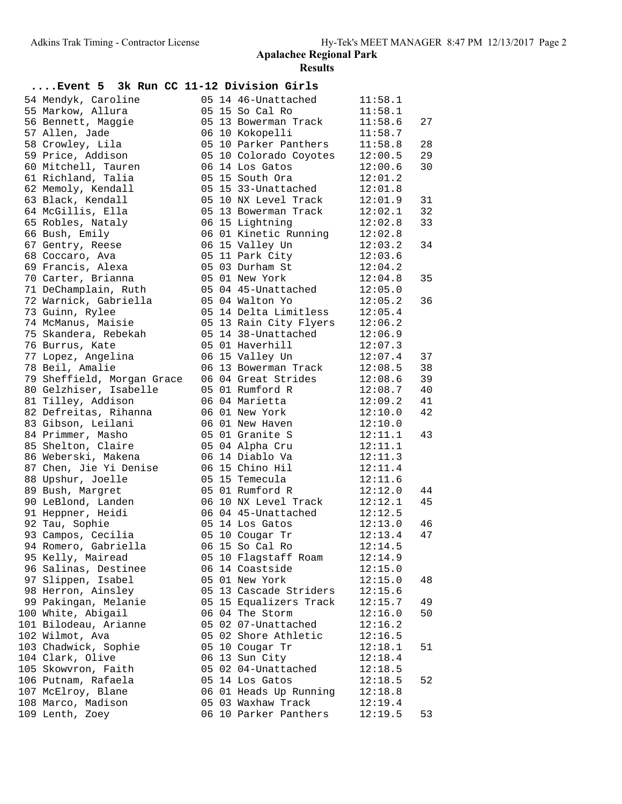| Event 5 3k Run CC 11-12 Division Girls |  |                                |         |    |
|----------------------------------------|--|--------------------------------|---------|----|
| 54 Mendyk, Caroline                    |  | 05 14 46-Unattached            | 11:58.1 |    |
| 55 Markow, Allura                      |  | 05 15 So Cal Ro                | 11:58.1 |    |
| 56 Bennett, Maggie                     |  | 05 13 Bowerman Track           | 11:58.6 | 27 |
| 57 Allen, Jade                         |  | 06 10 Kokopelli                | 11:58.7 |    |
| 58 Crowley, Lila                       |  | 05 10 Parker Panthers          | 11:58.8 | 28 |
| 59 Price, Addison                      |  | 05 10 Colorado Coyotes         | 12:00.5 | 29 |
| 60 Mitchell, Tauren                    |  | 06 14 Los Gatos                | 12:00.6 | 30 |
| 61 Richland, Talia                     |  | 05 15 South Ora                | 12:01.2 |    |
| 62 Memoly, Kendall                     |  | 05 15 33-Unattached            | 12:01.8 |    |
| 63 Black, Kendall                      |  | 05 10 NX Level Track           | 12:01.9 | 31 |
| 64 McGillis, Ella                      |  | 05 13 Bowerman Track           | 12:02.1 | 32 |
| 65 Robles, Nataly                      |  | 06 15 Lightning                | 12:02.8 | 33 |
| 66 Bush, Emily                         |  | 06 01 Kinetic Running 12:02.8  |         |    |
| 67 Gentry, Reese                       |  | 06 15 Valley Un                | 12:03.2 | 34 |
| 68 Coccaro, Ava                        |  | 05 11 Park City                | 12:03.6 |    |
| 69 Francis, Alexa                      |  | 05 03 Durham St                | 12:04.2 |    |
| 70 Carter, Brianna                     |  | 05 01 New York                 | 12:04.8 | 35 |
| 71 DeChamplain, Ruth                   |  | 05 04 45-Unattached 12:05.0    |         |    |
| 72 Warnick, Gabriella                  |  | 05 04 Walton Yo                | 12:05.2 | 36 |
| 73 Guinn, Rylee                        |  | 05 14 Delta Limitless          | 12:05.4 |    |
| 74 McManus, Maisie                     |  | 05 13 Rain City Flyers 12:06.2 |         |    |
| 75 Skandera, Rebekah                   |  | 05 14 38-Unattached            | 12:06.9 |    |
| 76 Burrus, Kate                        |  | 05 01 Haverhill                | 12:07.3 |    |
| 77 Lopez, Angelina                     |  | 06 15 Valley Un                | 12:07.4 | 37 |
| 78 Beil, Amalie                        |  | 06 13 Bowerman Track           | 12:08.5 | 38 |
| 79 Sheffield, Morgan Grace             |  | 06 04 Great Strides            | 12:08.6 | 39 |
| 80 Gelzhiser, Isabelle                 |  | 05 01 Rumford R                | 12:08.7 | 40 |
| 81 Tilley, Addison                     |  | 06 04 Marietta                 | 12:09.2 | 41 |
| 82 Defreitas, Rihanna                  |  | 06 01 New York                 | 12:10.0 | 42 |
| 83 Gibson, Leilani                     |  | 06 01 New Haven                | 12:10.0 |    |
| 84 Primmer, Masho                      |  | 05 01 Granite S                | 12:11.1 | 43 |
| 85 Shelton, Claire                     |  | 05 04 Alpha Cru                | 12:11.1 |    |
| 86 Weberski, Makena                    |  | 06 14 Diablo Va                | 12:11.3 |    |
| 87 Chen, Jie Yi Denise                 |  | 06 15 Chino Hil                | 12:11.4 |    |
| 88 Upshur, Joelle                      |  | 05 15 Temecula                 | 12:11.6 |    |
| 89 Bush, Margret                       |  | 05 01 Rumford R                | 12:12.0 | 44 |
| 90 LeBlond, Landen                     |  | 06 10 NX Level Track           | 12:12.1 | 45 |
| 91 Heppner, Heidi                      |  | 06 04 45-Unattached            |         |    |
| 92 Tau, Sophie                         |  | 05 14 Los Gatos                | 12:13.0 | 46 |
| 93 Campos, Cecilia                     |  | 05 10 Cougar Tr                | 12:13.4 | 47 |
| 94 Romero, Gabriella                   |  | 06 15 So Cal Ro                | 12:14.5 |    |
| 95 Kelly, Mairead                      |  | 05 10 Flagstaff Roam           | 12:14.9 |    |
| 96 Salinas, Destinee                   |  | 06 14 Coastside                | 12:15.0 |    |
| 97 Slippen, Isabel                     |  | 05 01 New York                 | 12:15.0 | 48 |
| 98 Herron, Ainsley                     |  | 05 13 Cascade Striders         | 12:15.6 |    |
| 99 Pakingan, Melanie                   |  | 05 15 Equalizers Track         | 12:15.7 | 49 |
| 100 White, Abigail                     |  | 06 04 The Storm                | 12:16.0 | 50 |
| 101 Bilodeau, Arianne                  |  | 05 02 07-Unattached            | 12:16.2 |    |
| 102 Wilmot, Ava                        |  | 05 02 Shore Athletic           | 12:16.5 |    |
| 103 Chadwick, Sophie                   |  | 05 10 Cougar Tr                | 12:18.1 | 51 |
| 104 Clark, Olive                       |  | 06 13 Sun City                 | 12:18.4 |    |
| 105 Skowvron, Faith                    |  | 05 02 04-Unattached            | 12:18.5 |    |
| 106 Putnam, Rafaela                    |  | 05 14 Los Gatos                | 12:18.5 | 52 |
| 107 McElroy, Blane                     |  | 06 01 Heads Up Running         | 12:18.8 |    |
| 108 Marco, Madison                     |  | 05 03 Waxhaw Track             | 12:19.4 |    |
| 109 Lenth, Zoey                        |  | 06 10 Parker Panthers          | 12:19.5 | 53 |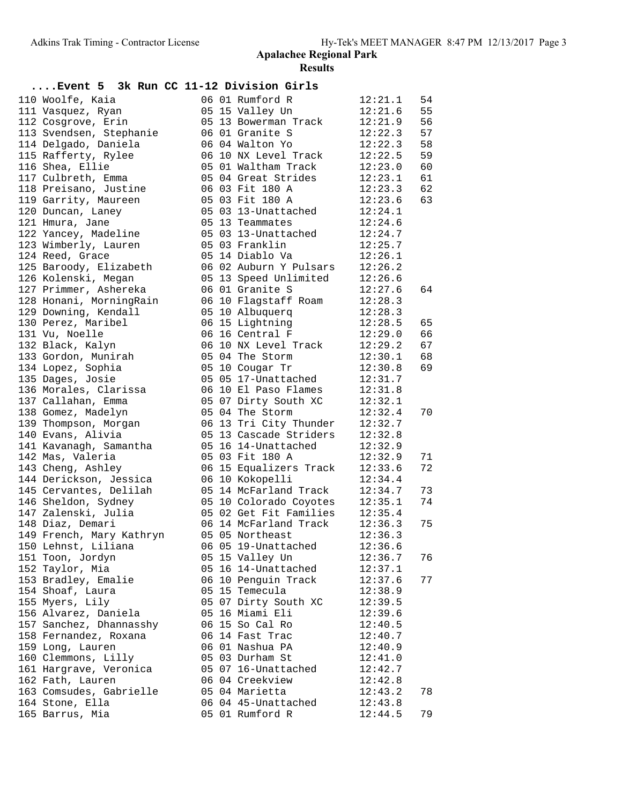| Event 5 3k Run CC 11-12 Division Girls    |  |                                             |                    |    |
|-------------------------------------------|--|---------------------------------------------|--------------------|----|
| 110 Woolfe, Kaia                          |  | 06 01 Rumford R                             | 12:21.1            | 54 |
| 111 Vasquez, Ryan                         |  | 05 15 Valley Un                             | 12:21.6            | 55 |
| 112 Cosgrove, Erin                        |  | 05 13 Bowerman Track                        | 12:21.9            | 56 |
| 113 Svendsen, Stephanie                   |  | 06 01 Granite S                             | 12:22.3            | 57 |
| 114 Delgado, Daniela                      |  | 06 04 Walton Yo                             | 12:22.3            | 58 |
| 115 Rafferty, Rylee                       |  | 06 10 NX Level Track                        | 12:22.5            | 59 |
| 116 Shea, Ellie                           |  | 05 01 Waltham Track                         | 12:23.0            | 60 |
| 117 Culbreth, Emma                        |  | 05 04 Great Strides                         | 12:23.1            | 61 |
| 118 Preisano, Justine                     |  | 06 03 Fit 180 A                             | 12:23.3            | 62 |
| 119 Garrity, Maureen                      |  | 05 03 Fit 180 A                             | 12:23.6            | 63 |
| 120 Duncan, Laney                         |  | 05 03 13-Unattached                         | 12:24.1            |    |
| 121 Hmura, Jane                           |  | 05 13 Teammates                             | 12:24.6            |    |
| 122 Yancey, Madeline                      |  | 05 03 13-Unattached                         | 12:24.7            |    |
| 123 Wimberly, Lauren                      |  | 05 03 Franklin                              | 12:25.7            |    |
| 124 Reed, Grace                           |  | 05 14 Diablo Va                             | 12:26.1            |    |
| 125 Baroody, Elizabeth                    |  | 06 02 Auburn Y Pulsars                      | 12:26.2            |    |
| 126 Kolenski, Megan                       |  | 05 13 Speed Unlimited                       | 12:26.6            |    |
| 127 Primmer, Ashereka                     |  | 06 01 Granite S                             | 12:27.6            | 64 |
| 128 Honani, MorningRain                   |  | 06 10 Flagstaff Roam                        | 12:28.3            |    |
| 129 Downing, Kendall                      |  | 05 10 Albuquerq                             | 12:28.3            |    |
| 130 Perez, Maribel                        |  | 06 15 Lightning                             | 12:28.5            | 65 |
| 131 Vu, Noelle                            |  | 06 16 Central F                             | 12:29.0            | 66 |
| 132 Black, Kalyn                          |  | 06 10 NX Level Track                        | 12:29.2            | 67 |
| 133 Gordon, Munirah                       |  | 05 04 The Storm                             | 12:30.1            | 68 |
| 134 Lopez, Sophia                         |  | 05 10 Cougar Tr                             | 12:30.8            | 69 |
| 135 Dages, Josie<br>136 Morales, Clarissa |  | 05 05 17-Unattached<br>06 10 El Paso Flames | 12:31.7<br>12:31.8 |    |
| 137 Callahan, Emma                        |  | 05 07 Dirty South XC                        | 12:32.1            |    |
| 138 Gomez, Madelyn                        |  | 05 04 The Storm                             | 12:32.4            | 70 |
| 139 Thompson, Morgan                      |  | 06 13 Tri City Thunder                      | 12:32.7            |    |
| 140 Evans, Alivia                         |  | 05 13 Cascade Striders                      | 12:32.8            |    |
| 141 Kavanagh, Samantha                    |  | 05 16 14-Unattached                         | 12:32.9            |    |
| 142 Mas, Valeria                          |  | 05 03 Fit 180 A                             | 12:32.9            | 71 |
| 143 Cheng, Ashley                         |  | 06 15 Equalizers Track                      | 12:33.6            | 72 |
| 144 Derickson, Jessica                    |  | 06 10 Kokopelli                             | 12:34.4            |    |
| 145 Cervantes, Delilah                    |  | 05 14 McFarland Track                       | 12:34.7            | 73 |
| 146 Sheldon, Sydney                       |  | 05 10 Colorado Coyotes                      | 12:35.1            | 74 |
| 147 Zalenski, Julia                       |  | 05 02 Get Fit Families                      | 12:35.4            |    |
| 148 Diaz, Demari                          |  | 06 14 McFarland Track                       | 12:36.3            | 75 |
| 149 French, Mary Kathryn                  |  | 05 05 Northeast                             | 12:36.3            |    |
| 150 Lehnst, Liliana                       |  | 06 05 19-Unattached                         | 12:36.6            |    |
| 151 Toon, Jordyn                          |  | 05 15 Valley Un                             | 12:36.7            | 76 |
| 152 Taylor, Mia                           |  | 05 16 14-Unattached                         | 12:37.1            |    |
| 153 Bradley, Emalie                       |  | 06 10 Penguin Track                         | 12:37.6            | 77 |
| 154 Shoaf, Laura                          |  | 05 15 Temecula                              | 12:38.9            |    |
| 155 Myers, Lily                           |  | 05 07 Dirty South XC                        | 12:39.5            |    |
| 156 Alvarez, Daniela                      |  | 05 16 Miami Eli                             | 12:39.6            |    |
| 157 Sanchez, Dhannasshy                   |  | 06 15 So Cal Ro                             | 12:40.5            |    |
| 158 Fernandez, Roxana                     |  | 06 14 Fast Trac                             | 12:40.7            |    |
| 159 Long, Lauren                          |  | 06 01 Nashua PA                             | 12:40.9            |    |
| 160 Clemmons, Lilly                       |  | 05 03 Durham St                             | 12:41.0            |    |
| 161 Hargrave, Veronica                    |  | 05 07 16-Unattached                         | 12:42.7            |    |
| 162 Fath, Lauren                          |  | 06 04 Creekview                             | 12:42.8            |    |
| 163 Comsudes, Gabrielle                   |  | 05 04 Marietta                              | 12:43.2            | 78 |
| 164 Stone, Ella                           |  | 06 04 45-Unattached                         | 12:43.8            |    |
| 165 Barrus, Mia                           |  | 05 01 Rumford R                             | 12:44.5            | 79 |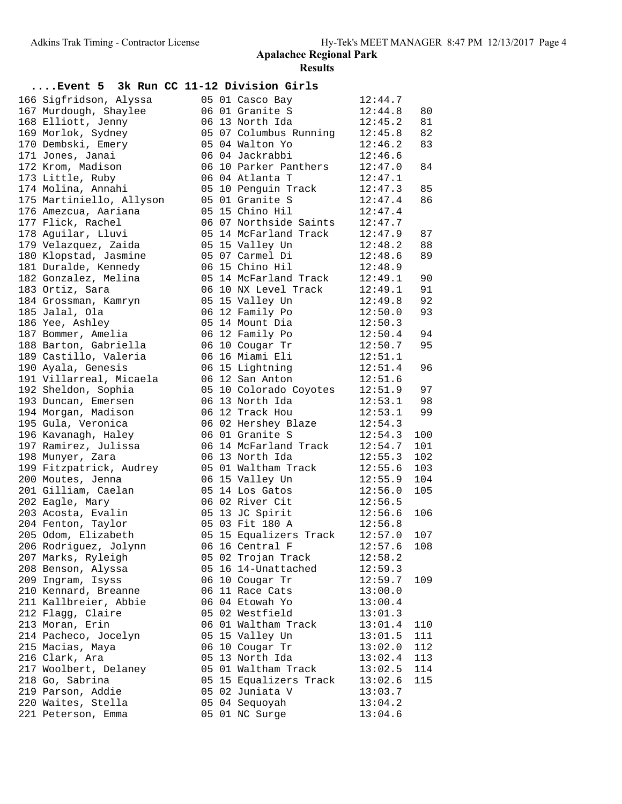| Event 5 3k Run CC 11-12 Division Girls |  |                        |         |     |
|----------------------------------------|--|------------------------|---------|-----|
| 166 Sigfridson, Alyssa                 |  | 05 01 Casco Bay        | 12:44.7 |     |
| 167 Murdough, Shaylee                  |  | 06 01 Granite S        | 12:44.8 | 80  |
| 168 Elliott, Jenny                     |  | 06 13 North Ida        | 12:45.2 | 81  |
| 169 Morlok, Sydney                     |  | 05 07 Columbus Running | 12:45.8 | 82  |
| 170 Dembski, Emery                     |  | 05 04 Walton Yo        | 12:46.2 | 83  |
| 171 Jones, Janai                       |  | 06 04 Jackrabbi        | 12:46.6 |     |
| 172 Krom, Madison                      |  | 06 10 Parker Panthers  | 12:47.0 | 84  |
| 173 Little, Ruby                       |  | 06 04 Atlanta T        | 12:47.1 |     |
| 174 Molina, Annahi                     |  | 05 10 Penguin Track    | 12:47.3 | 85  |
| 175 Martiniello, Allyson               |  | 05 01 Granite S        | 12:47.4 | 86  |
| 176 Amezcua, Aariana                   |  | 05 15 Chino Hil        | 12:47.4 |     |
| 177 Flick, Rachel                      |  | 06 07 Northside Saints | 12:47.7 |     |
| 178 Aguilar, Lluvi                     |  | 05 14 McFarland Track  | 12:47.9 | 87  |
| 179 Velazquez, Zaida                   |  | 05 15 Valley Un        | 12:48.2 | 88  |
| 180 Klopstad, Jasmine                  |  | 05 07 Carmel Di        | 12:48.6 | 89  |
| 181 Duralde, Kennedy                   |  | 06 15 Chino Hil        | 12:48.9 |     |
| 182 Gonzalez, Melina                   |  | 05 14 McFarland Track  | 12:49.1 | 90  |
| 183 Ortiz, Sara                        |  | 06 10 NX Level Track   | 12:49.1 | 91  |
| 184 Grossman, Kamryn                   |  | 05 15 Valley Un        | 12:49.8 | 92  |
| 185 Jalal, Ola                         |  | 06 12 Family Po        | 12:50.0 | 93  |
| 186 Yee, Ashley                        |  | 05 14 Mount Dia        | 12:50.3 |     |
| 187 Bommer, Amelia                     |  | 06 12 Family Po        | 12:50.4 | 94  |
| 188 Barton, Gabriella                  |  | 06 10 Cougar Tr        | 12:50.7 | 95  |
| 189 Castillo, Valeria                  |  | 06 16 Miami Eli        | 12:51.1 |     |
| 190 Ayala, Genesis                     |  | 06 15 Lightning        | 12:51.4 | 96  |
| 191 Villarreal, Micaela                |  | 06 12 San Anton        | 12:51.6 |     |
| 192 Sheldon, Sophia                    |  | 05 10 Colorado Coyotes | 12:51.9 | 97  |
| 193 Duncan, Emersen                    |  | 06 13 North Ida        | 12:53.1 | 98  |
| 194 Morgan, Madison                    |  | 06 12 Track Hou        | 12:53.1 | 99  |
| 195 Gula, Veronica                     |  | 06 02 Hershey Blaze    | 12:54.3 |     |
| 196 Kavanagh, Haley                    |  | 06 01 Granite S        | 12:54.3 | 100 |
| 197 Ramirez, Julissa                   |  | 06 14 McFarland Track  | 12:54.7 | 101 |
| 198 Munyer, Zara                       |  | 06 13 North Ida        | 12:55.3 | 102 |
| 199 Fitzpatrick, Audrey                |  | 05 01 Waltham Track    | 12:55.6 | 103 |
| 200 Moutes, Jenna                      |  | 06 15 Valley Un        | 12:55.9 | 104 |
| 201 Gilliam, Caelan                    |  | 05 14 Los Gatos        | 12:56.0 | 105 |
| 202 Eagle, Mary                        |  | 06 02 River Cit        | 12:56.5 |     |
| 203 Acosta, Evalin                     |  | 05 13 JC Spirit        | 12:56.6 | 106 |
| 204 Fenton, Taylor                     |  | 05 03 Fit 180 A        | 12:56.8 |     |
| 205 Odom, Elizabeth                    |  | 05 15 Equalizers Track | 12:57.0 | 107 |
| 206 Rodriguez, Jolynn                  |  | 06 16 Central F        | 12:57.6 | 108 |
| 207 Marks, Ryleigh                     |  | 05 02 Trojan Track     | 12:58.2 |     |
| 208 Benson, Alyssa                     |  | 05 16 14-Unattached    | 12:59.3 |     |
| 209 Ingram, Isyss                      |  | 06 10 Cougar Tr        | 12:59.7 | 109 |
| 210 Kennard, Breanne                   |  | 06 11 Race Cats        | 13:00.0 |     |
| 211 Kallbreier, Abbie                  |  | 06 04 Etowah Yo        | 13:00.4 |     |
| 212 Flagg, Claire                      |  | 05 02 Westfield        | 13:01.3 |     |
| 213 Moran, Erin                        |  | 06 01 Waltham Track    | 13:01.4 | 110 |
| 214 Pacheco, Jocelyn                   |  | 05 15 Valley Un        | 13:01.5 | 111 |
| 215 Macias, Maya                       |  | 06 10 Cougar Tr        | 13:02.0 | 112 |
| 216 Clark, Ara                         |  | 05 13 North Ida        | 13:02.4 | 113 |
| 217 Woolbert, Delaney                  |  | 05 01 Waltham Track    | 13:02.5 | 114 |
| 218 Go, Sabrina                        |  | 05 15 Equalizers Track | 13:02.6 | 115 |
| 219 Parson, Addie                      |  | 05 02 Juniata V        | 13:03.7 |     |
| 220 Waites, Stella                     |  | 05 04 Sequoyah         | 13:04.2 |     |
| 221 Peterson, Emma                     |  | 05 01 NC Surge         | 13:04.6 |     |
|                                        |  |                        |         |     |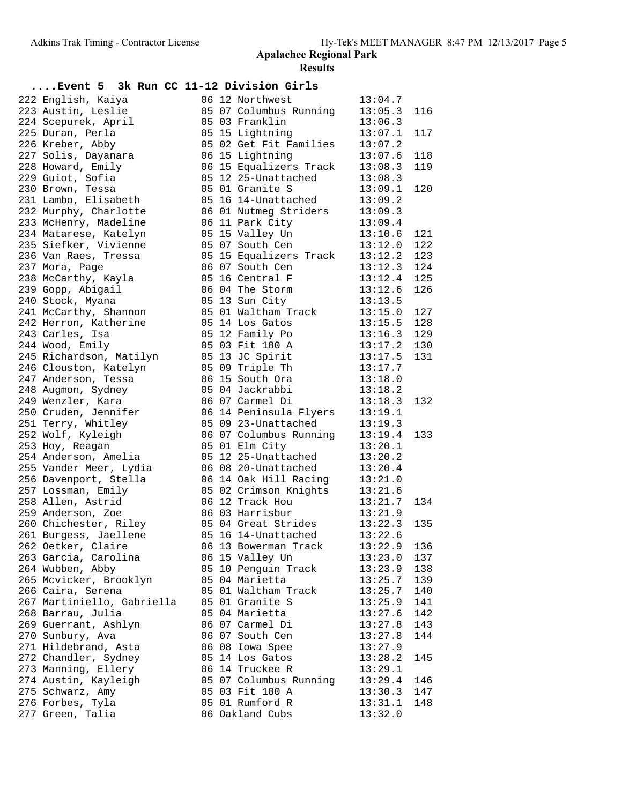| 222 English, Kaiya |                                                                         |                                                                                                                                                                                                                                                                                                                                                                                                                                                                                                                                                                                                                                                                                                                                                                                                                                                                                                                                                                                                                                                                                                        |                                                                                |                 |                                                                                                                                                                                                                                                                                                                                                                                                                                                                                                                                                                                                                                                                                                                                                                                                                                                                                                                                                                                                                                                                 |                                                                                                                                                                                                                                                                                                                                                                                                                                                                                                                                                                                                                                                                                                                       |
|--------------------|-------------------------------------------------------------------------|--------------------------------------------------------------------------------------------------------------------------------------------------------------------------------------------------------------------------------------------------------------------------------------------------------------------------------------------------------------------------------------------------------------------------------------------------------------------------------------------------------------------------------------------------------------------------------------------------------------------------------------------------------------------------------------------------------------------------------------------------------------------------------------------------------------------------------------------------------------------------------------------------------------------------------------------------------------------------------------------------------------------------------------------------------------------------------------------------------|--------------------------------------------------------------------------------|-----------------|-----------------------------------------------------------------------------------------------------------------------------------------------------------------------------------------------------------------------------------------------------------------------------------------------------------------------------------------------------------------------------------------------------------------------------------------------------------------------------------------------------------------------------------------------------------------------------------------------------------------------------------------------------------------------------------------------------------------------------------------------------------------------------------------------------------------------------------------------------------------------------------------------------------------------------------------------------------------------------------------------------------------------------------------------------------------|-----------------------------------------------------------------------------------------------------------------------------------------------------------------------------------------------------------------------------------------------------------------------------------------------------------------------------------------------------------------------------------------------------------------------------------------------------------------------------------------------------------------------------------------------------------------------------------------------------------------------------------------------------------------------------------------------------------------------|
|                    |                                                                         |                                                                                                                                                                                                                                                                                                                                                                                                                                                                                                                                                                                                                                                                                                                                                                                                                                                                                                                                                                                                                                                                                                        |                                                                                | 06 12 Northwest | 13:04.7                                                                                                                                                                                                                                                                                                                                                                                                                                                                                                                                                                                                                                                                                                                                                                                                                                                                                                                                                                                                                                                         |                                                                                                                                                                                                                                                                                                                                                                                                                                                                                                                                                                                                                                                                                                                       |
|                    |                                                                         |                                                                                                                                                                                                                                                                                                                                                                                                                                                                                                                                                                                                                                                                                                                                                                                                                                                                                                                                                                                                                                                                                                        |                                                                                |                 | 13:05.3                                                                                                                                                                                                                                                                                                                                                                                                                                                                                                                                                                                                                                                                                                                                                                                                                                                                                                                                                                                                                                                         | 116                                                                                                                                                                                                                                                                                                                                                                                                                                                                                                                                                                                                                                                                                                                   |
|                    |                                                                         |                                                                                                                                                                                                                                                                                                                                                                                                                                                                                                                                                                                                                                                                                                                                                                                                                                                                                                                                                                                                                                                                                                        |                                                                                |                 | 13:06.3                                                                                                                                                                                                                                                                                                                                                                                                                                                                                                                                                                                                                                                                                                                                                                                                                                                                                                                                                                                                                                                         |                                                                                                                                                                                                                                                                                                                                                                                                                                                                                                                                                                                                                                                                                                                       |
|                    |                                                                         |                                                                                                                                                                                                                                                                                                                                                                                                                                                                                                                                                                                                                                                                                                                                                                                                                                                                                                                                                                                                                                                                                                        |                                                                                |                 |                                                                                                                                                                                                                                                                                                                                                                                                                                                                                                                                                                                                                                                                                                                                                                                                                                                                                                                                                                                                                                                                 | 117                                                                                                                                                                                                                                                                                                                                                                                                                                                                                                                                                                                                                                                                                                                   |
|                    |                                                                         |                                                                                                                                                                                                                                                                                                                                                                                                                                                                                                                                                                                                                                                                                                                                                                                                                                                                                                                                                                                                                                                                                                        |                                                                                |                 |                                                                                                                                                                                                                                                                                                                                                                                                                                                                                                                                                                                                                                                                                                                                                                                                                                                                                                                                                                                                                                                                 |                                                                                                                                                                                                                                                                                                                                                                                                                                                                                                                                                                                                                                                                                                                       |
|                    |                                                                         |                                                                                                                                                                                                                                                                                                                                                                                                                                                                                                                                                                                                                                                                                                                                                                                                                                                                                                                                                                                                                                                                                                        |                                                                                |                 |                                                                                                                                                                                                                                                                                                                                                                                                                                                                                                                                                                                                                                                                                                                                                                                                                                                                                                                                                                                                                                                                 | 118                                                                                                                                                                                                                                                                                                                                                                                                                                                                                                                                                                                                                                                                                                                   |
|                    |                                                                         |                                                                                                                                                                                                                                                                                                                                                                                                                                                                                                                                                                                                                                                                                                                                                                                                                                                                                                                                                                                                                                                                                                        |                                                                                |                 |                                                                                                                                                                                                                                                                                                                                                                                                                                                                                                                                                                                                                                                                                                                                                                                                                                                                                                                                                                                                                                                                 | 119                                                                                                                                                                                                                                                                                                                                                                                                                                                                                                                                                                                                                                                                                                                   |
|                    |                                                                         |                                                                                                                                                                                                                                                                                                                                                                                                                                                                                                                                                                                                                                                                                                                                                                                                                                                                                                                                                                                                                                                                                                        |                                                                                |                 |                                                                                                                                                                                                                                                                                                                                                                                                                                                                                                                                                                                                                                                                                                                                                                                                                                                                                                                                                                                                                                                                 |                                                                                                                                                                                                                                                                                                                                                                                                                                                                                                                                                                                                                                                                                                                       |
|                    |                                                                         |                                                                                                                                                                                                                                                                                                                                                                                                                                                                                                                                                                                                                                                                                                                                                                                                                                                                                                                                                                                                                                                                                                        |                                                                                |                 |                                                                                                                                                                                                                                                                                                                                                                                                                                                                                                                                                                                                                                                                                                                                                                                                                                                                                                                                                                                                                                                                 | 120                                                                                                                                                                                                                                                                                                                                                                                                                                                                                                                                                                                                                                                                                                                   |
|                    |                                                                         |                                                                                                                                                                                                                                                                                                                                                                                                                                                                                                                                                                                                                                                                                                                                                                                                                                                                                                                                                                                                                                                                                                        |                                                                                |                 |                                                                                                                                                                                                                                                                                                                                                                                                                                                                                                                                                                                                                                                                                                                                                                                                                                                                                                                                                                                                                                                                 |                                                                                                                                                                                                                                                                                                                                                                                                                                                                                                                                                                                                                                                                                                                       |
|                    |                                                                         |                                                                                                                                                                                                                                                                                                                                                                                                                                                                                                                                                                                                                                                                                                                                                                                                                                                                                                                                                                                                                                                                                                        |                                                                                |                 |                                                                                                                                                                                                                                                                                                                                                                                                                                                                                                                                                                                                                                                                                                                                                                                                                                                                                                                                                                                                                                                                 |                                                                                                                                                                                                                                                                                                                                                                                                                                                                                                                                                                                                                                                                                                                       |
|                    |                                                                         |                                                                                                                                                                                                                                                                                                                                                                                                                                                                                                                                                                                                                                                                                                                                                                                                                                                                                                                                                                                                                                                                                                        |                                                                                |                 |                                                                                                                                                                                                                                                                                                                                                                                                                                                                                                                                                                                                                                                                                                                                                                                                                                                                                                                                                                                                                                                                 |                                                                                                                                                                                                                                                                                                                                                                                                                                                                                                                                                                                                                                                                                                                       |
|                    |                                                                         |                                                                                                                                                                                                                                                                                                                                                                                                                                                                                                                                                                                                                                                                                                                                                                                                                                                                                                                                                                                                                                                                                                        |                                                                                |                 |                                                                                                                                                                                                                                                                                                                                                                                                                                                                                                                                                                                                                                                                                                                                                                                                                                                                                                                                                                                                                                                                 | 121                                                                                                                                                                                                                                                                                                                                                                                                                                                                                                                                                                                                                                                                                                                   |
|                    |                                                                         |                                                                                                                                                                                                                                                                                                                                                                                                                                                                                                                                                                                                                                                                                                                                                                                                                                                                                                                                                                                                                                                                                                        |                                                                                |                 |                                                                                                                                                                                                                                                                                                                                                                                                                                                                                                                                                                                                                                                                                                                                                                                                                                                                                                                                                                                                                                                                 | 122                                                                                                                                                                                                                                                                                                                                                                                                                                                                                                                                                                                                                                                                                                                   |
|                    |                                                                         |                                                                                                                                                                                                                                                                                                                                                                                                                                                                                                                                                                                                                                                                                                                                                                                                                                                                                                                                                                                                                                                                                                        |                                                                                |                 |                                                                                                                                                                                                                                                                                                                                                                                                                                                                                                                                                                                                                                                                                                                                                                                                                                                                                                                                                                                                                                                                 | 123                                                                                                                                                                                                                                                                                                                                                                                                                                                                                                                                                                                                                                                                                                                   |
|                    |                                                                         |                                                                                                                                                                                                                                                                                                                                                                                                                                                                                                                                                                                                                                                                                                                                                                                                                                                                                                                                                                                                                                                                                                        |                                                                                |                 |                                                                                                                                                                                                                                                                                                                                                                                                                                                                                                                                                                                                                                                                                                                                                                                                                                                                                                                                                                                                                                                                 | 124                                                                                                                                                                                                                                                                                                                                                                                                                                                                                                                                                                                                                                                                                                                   |
|                    |                                                                         |                                                                                                                                                                                                                                                                                                                                                                                                                                                                                                                                                                                                                                                                                                                                                                                                                                                                                                                                                                                                                                                                                                        |                                                                                |                 |                                                                                                                                                                                                                                                                                                                                                                                                                                                                                                                                                                                                                                                                                                                                                                                                                                                                                                                                                                                                                                                                 | 125                                                                                                                                                                                                                                                                                                                                                                                                                                                                                                                                                                                                                                                                                                                   |
|                    |                                                                         |                                                                                                                                                                                                                                                                                                                                                                                                                                                                                                                                                                                                                                                                                                                                                                                                                                                                                                                                                                                                                                                                                                        |                                                                                |                 |                                                                                                                                                                                                                                                                                                                                                                                                                                                                                                                                                                                                                                                                                                                                                                                                                                                                                                                                                                                                                                                                 | 126                                                                                                                                                                                                                                                                                                                                                                                                                                                                                                                                                                                                                                                                                                                   |
|                    |                                                                         |                                                                                                                                                                                                                                                                                                                                                                                                                                                                                                                                                                                                                                                                                                                                                                                                                                                                                                                                                                                                                                                                                                        |                                                                                |                 |                                                                                                                                                                                                                                                                                                                                                                                                                                                                                                                                                                                                                                                                                                                                                                                                                                                                                                                                                                                                                                                                 |                                                                                                                                                                                                                                                                                                                                                                                                                                                                                                                                                                                                                                                                                                                       |
|                    |                                                                         |                                                                                                                                                                                                                                                                                                                                                                                                                                                                                                                                                                                                                                                                                                                                                                                                                                                                                                                                                                                                                                                                                                        |                                                                                |                 |                                                                                                                                                                                                                                                                                                                                                                                                                                                                                                                                                                                                                                                                                                                                                                                                                                                                                                                                                                                                                                                                 | 127                                                                                                                                                                                                                                                                                                                                                                                                                                                                                                                                                                                                                                                                                                                   |
|                    |                                                                         |                                                                                                                                                                                                                                                                                                                                                                                                                                                                                                                                                                                                                                                                                                                                                                                                                                                                                                                                                                                                                                                                                                        |                                                                                |                 |                                                                                                                                                                                                                                                                                                                                                                                                                                                                                                                                                                                                                                                                                                                                                                                                                                                                                                                                                                                                                                                                 | 128                                                                                                                                                                                                                                                                                                                                                                                                                                                                                                                                                                                                                                                                                                                   |
|                    |                                                                         |                                                                                                                                                                                                                                                                                                                                                                                                                                                                                                                                                                                                                                                                                                                                                                                                                                                                                                                                                                                                                                                                                                        |                                                                                |                 |                                                                                                                                                                                                                                                                                                                                                                                                                                                                                                                                                                                                                                                                                                                                                                                                                                                                                                                                                                                                                                                                 | 129                                                                                                                                                                                                                                                                                                                                                                                                                                                                                                                                                                                                                                                                                                                   |
|                    |                                                                         |                                                                                                                                                                                                                                                                                                                                                                                                                                                                                                                                                                                                                                                                                                                                                                                                                                                                                                                                                                                                                                                                                                        |                                                                                |                 |                                                                                                                                                                                                                                                                                                                                                                                                                                                                                                                                                                                                                                                                                                                                                                                                                                                                                                                                                                                                                                                                 | 130                                                                                                                                                                                                                                                                                                                                                                                                                                                                                                                                                                                                                                                                                                                   |
|                    |                                                                         |                                                                                                                                                                                                                                                                                                                                                                                                                                                                                                                                                                                                                                                                                                                                                                                                                                                                                                                                                                                                                                                                                                        |                                                                                |                 |                                                                                                                                                                                                                                                                                                                                                                                                                                                                                                                                                                                                                                                                                                                                                                                                                                                                                                                                                                                                                                                                 | 131                                                                                                                                                                                                                                                                                                                                                                                                                                                                                                                                                                                                                                                                                                                   |
|                    |                                                                         |                                                                                                                                                                                                                                                                                                                                                                                                                                                                                                                                                                                                                                                                                                                                                                                                                                                                                                                                                                                                                                                                                                        |                                                                                |                 |                                                                                                                                                                                                                                                                                                                                                                                                                                                                                                                                                                                                                                                                                                                                                                                                                                                                                                                                                                                                                                                                 |                                                                                                                                                                                                                                                                                                                                                                                                                                                                                                                                                                                                                                                                                                                       |
|                    |                                                                         |                                                                                                                                                                                                                                                                                                                                                                                                                                                                                                                                                                                                                                                                                                                                                                                                                                                                                                                                                                                                                                                                                                        |                                                                                |                 |                                                                                                                                                                                                                                                                                                                                                                                                                                                                                                                                                                                                                                                                                                                                                                                                                                                                                                                                                                                                                                                                 |                                                                                                                                                                                                                                                                                                                                                                                                                                                                                                                                                                                                                                                                                                                       |
|                    |                                                                         |                                                                                                                                                                                                                                                                                                                                                                                                                                                                                                                                                                                                                                                                                                                                                                                                                                                                                                                                                                                                                                                                                                        |                                                                                |                 |                                                                                                                                                                                                                                                                                                                                                                                                                                                                                                                                                                                                                                                                                                                                                                                                                                                                                                                                                                                                                                                                 |                                                                                                                                                                                                                                                                                                                                                                                                                                                                                                                                                                                                                                                                                                                       |
|                    |                                                                         |                                                                                                                                                                                                                                                                                                                                                                                                                                                                                                                                                                                                                                                                                                                                                                                                                                                                                                                                                                                                                                                                                                        |                                                                                |                 |                                                                                                                                                                                                                                                                                                                                                                                                                                                                                                                                                                                                                                                                                                                                                                                                                                                                                                                                                                                                                                                                 | 132                                                                                                                                                                                                                                                                                                                                                                                                                                                                                                                                                                                                                                                                                                                   |
|                    |                                                                         |                                                                                                                                                                                                                                                                                                                                                                                                                                                                                                                                                                                                                                                                                                                                                                                                                                                                                                                                                                                                                                                                                                        |                                                                                |                 |                                                                                                                                                                                                                                                                                                                                                                                                                                                                                                                                                                                                                                                                                                                                                                                                                                                                                                                                                                                                                                                                 |                                                                                                                                                                                                                                                                                                                                                                                                                                                                                                                                                                                                                                                                                                                       |
|                    |                                                                         |                                                                                                                                                                                                                                                                                                                                                                                                                                                                                                                                                                                                                                                                                                                                                                                                                                                                                                                                                                                                                                                                                                        |                                                                                |                 |                                                                                                                                                                                                                                                                                                                                                                                                                                                                                                                                                                                                                                                                                                                                                                                                                                                                                                                                                                                                                                                                 |                                                                                                                                                                                                                                                                                                                                                                                                                                                                                                                                                                                                                                                                                                                       |
|                    |                                                                         |                                                                                                                                                                                                                                                                                                                                                                                                                                                                                                                                                                                                                                                                                                                                                                                                                                                                                                                                                                                                                                                                                                        |                                                                                |                 |                                                                                                                                                                                                                                                                                                                                                                                                                                                                                                                                                                                                                                                                                                                                                                                                                                                                                                                                                                                                                                                                 | 133                                                                                                                                                                                                                                                                                                                                                                                                                                                                                                                                                                                                                                                                                                                   |
|                    |                                                                         |                                                                                                                                                                                                                                                                                                                                                                                                                                                                                                                                                                                                                                                                                                                                                                                                                                                                                                                                                                                                                                                                                                        |                                                                                |                 |                                                                                                                                                                                                                                                                                                                                                                                                                                                                                                                                                                                                                                                                                                                                                                                                                                                                                                                                                                                                                                                                 |                                                                                                                                                                                                                                                                                                                                                                                                                                                                                                                                                                                                                                                                                                                       |
|                    |                                                                         |                                                                                                                                                                                                                                                                                                                                                                                                                                                                                                                                                                                                                                                                                                                                                                                                                                                                                                                                                                                                                                                                                                        |                                                                                |                 |                                                                                                                                                                                                                                                                                                                                                                                                                                                                                                                                                                                                                                                                                                                                                                                                                                                                                                                                                                                                                                                                 |                                                                                                                                                                                                                                                                                                                                                                                                                                                                                                                                                                                                                                                                                                                       |
|                    |                                                                         |                                                                                                                                                                                                                                                                                                                                                                                                                                                                                                                                                                                                                                                                                                                                                                                                                                                                                                                                                                                                                                                                                                        |                                                                                |                 |                                                                                                                                                                                                                                                                                                                                                                                                                                                                                                                                                                                                                                                                                                                                                                                                                                                                                                                                                                                                                                                                 |                                                                                                                                                                                                                                                                                                                                                                                                                                                                                                                                                                                                                                                                                                                       |
|                    |                                                                         |                                                                                                                                                                                                                                                                                                                                                                                                                                                                                                                                                                                                                                                                                                                                                                                                                                                                                                                                                                                                                                                                                                        |                                                                                |                 |                                                                                                                                                                                                                                                                                                                                                                                                                                                                                                                                                                                                                                                                                                                                                                                                                                                                                                                                                                                                                                                                 |                                                                                                                                                                                                                                                                                                                                                                                                                                                                                                                                                                                                                                                                                                                       |
|                    |                                                                         |                                                                                                                                                                                                                                                                                                                                                                                                                                                                                                                                                                                                                                                                                                                                                                                                                                                                                                                                                                                                                                                                                                        |                                                                                |                 |                                                                                                                                                                                                                                                                                                                                                                                                                                                                                                                                                                                                                                                                                                                                                                                                                                                                                                                                                                                                                                                                 |                                                                                                                                                                                                                                                                                                                                                                                                                                                                                                                                                                                                                                                                                                                       |
|                    |                                                                         |                                                                                                                                                                                                                                                                                                                                                                                                                                                                                                                                                                                                                                                                                                                                                                                                                                                                                                                                                                                                                                                                                                        |                                                                                |                 |                                                                                                                                                                                                                                                                                                                                                                                                                                                                                                                                                                                                                                                                                                                                                                                                                                                                                                                                                                                                                                                                 | 134                                                                                                                                                                                                                                                                                                                                                                                                                                                                                                                                                                                                                                                                                                                   |
|                    |                                                                         |                                                                                                                                                                                                                                                                                                                                                                                                                                                                                                                                                                                                                                                                                                                                                                                                                                                                                                                                                                                                                                                                                                        |                                                                                |                 |                                                                                                                                                                                                                                                                                                                                                                                                                                                                                                                                                                                                                                                                                                                                                                                                                                                                                                                                                                                                                                                                 |                                                                                                                                                                                                                                                                                                                                                                                                                                                                                                                                                                                                                                                                                                                       |
|                    |                                                                         |                                                                                                                                                                                                                                                                                                                                                                                                                                                                                                                                                                                                                                                                                                                                                                                                                                                                                                                                                                                                                                                                                                        |                                                                                |                 |                                                                                                                                                                                                                                                                                                                                                                                                                                                                                                                                                                                                                                                                                                                                                                                                                                                                                                                                                                                                                                                                 | 135                                                                                                                                                                                                                                                                                                                                                                                                                                                                                                                                                                                                                                                                                                                   |
|                    |                                                                         |                                                                                                                                                                                                                                                                                                                                                                                                                                                                                                                                                                                                                                                                                                                                                                                                                                                                                                                                                                                                                                                                                                        |                                                                                |                 |                                                                                                                                                                                                                                                                                                                                                                                                                                                                                                                                                                                                                                                                                                                                                                                                                                                                                                                                                                                                                                                                 |                                                                                                                                                                                                                                                                                                                                                                                                                                                                                                                                                                                                                                                                                                                       |
|                    |                                                                         |                                                                                                                                                                                                                                                                                                                                                                                                                                                                                                                                                                                                                                                                                                                                                                                                                                                                                                                                                                                                                                                                                                        |                                                                                |                 |                                                                                                                                                                                                                                                                                                                                                                                                                                                                                                                                                                                                                                                                                                                                                                                                                                                                                                                                                                                                                                                                 | 136                                                                                                                                                                                                                                                                                                                                                                                                                                                                                                                                                                                                                                                                                                                   |
|                    |                                                                         |                                                                                                                                                                                                                                                                                                                                                                                                                                                                                                                                                                                                                                                                                                                                                                                                                                                                                                                                                                                                                                                                                                        |                                                                                |                 |                                                                                                                                                                                                                                                                                                                                                                                                                                                                                                                                                                                                                                                                                                                                                                                                                                                                                                                                                                                                                                                                 | 137                                                                                                                                                                                                                                                                                                                                                                                                                                                                                                                                                                                                                                                                                                                   |
|                    |                                                                         |                                                                                                                                                                                                                                                                                                                                                                                                                                                                                                                                                                                                                                                                                                                                                                                                                                                                                                                                                                                                                                                                                                        |                                                                                |                 |                                                                                                                                                                                                                                                                                                                                                                                                                                                                                                                                                                                                                                                                                                                                                                                                                                                                                                                                                                                                                                                                 | 138                                                                                                                                                                                                                                                                                                                                                                                                                                                                                                                                                                                                                                                                                                                   |
|                    |                                                                         |                                                                                                                                                                                                                                                                                                                                                                                                                                                                                                                                                                                                                                                                                                                                                                                                                                                                                                                                                                                                                                                                                                        |                                                                                |                 |                                                                                                                                                                                                                                                                                                                                                                                                                                                                                                                                                                                                                                                                                                                                                                                                                                                                                                                                                                                                                                                                 | 139                                                                                                                                                                                                                                                                                                                                                                                                                                                                                                                                                                                                                                                                                                                   |
|                    |                                                                         |                                                                                                                                                                                                                                                                                                                                                                                                                                                                                                                                                                                                                                                                                                                                                                                                                                                                                                                                                                                                                                                                                                        |                                                                                |                 |                                                                                                                                                                                                                                                                                                                                                                                                                                                                                                                                                                                                                                                                                                                                                                                                                                                                                                                                                                                                                                                                 | 140                                                                                                                                                                                                                                                                                                                                                                                                                                                                                                                                                                                                                                                                                                                   |
|                    |                                                                         |                                                                                                                                                                                                                                                                                                                                                                                                                                                                                                                                                                                                                                                                                                                                                                                                                                                                                                                                                                                                                                                                                                        |                                                                                |                 |                                                                                                                                                                                                                                                                                                                                                                                                                                                                                                                                                                                                                                                                                                                                                                                                                                                                                                                                                                                                                                                                 | 141                                                                                                                                                                                                                                                                                                                                                                                                                                                                                                                                                                                                                                                                                                                   |
|                    |                                                                         |                                                                                                                                                                                                                                                                                                                                                                                                                                                                                                                                                                                                                                                                                                                                                                                                                                                                                                                                                                                                                                                                                                        |                                                                                |                 |                                                                                                                                                                                                                                                                                                                                                                                                                                                                                                                                                                                                                                                                                                                                                                                                                                                                                                                                                                                                                                                                 | 142                                                                                                                                                                                                                                                                                                                                                                                                                                                                                                                                                                                                                                                                                                                   |
|                    |                                                                         |                                                                                                                                                                                                                                                                                                                                                                                                                                                                                                                                                                                                                                                                                                                                                                                                                                                                                                                                                                                                                                                                                                        |                                                                                |                 |                                                                                                                                                                                                                                                                                                                                                                                                                                                                                                                                                                                                                                                                                                                                                                                                                                                                                                                                                                                                                                                                 | 143                                                                                                                                                                                                                                                                                                                                                                                                                                                                                                                                                                                                                                                                                                                   |
|                    |                                                                         |                                                                                                                                                                                                                                                                                                                                                                                                                                                                                                                                                                                                                                                                                                                                                                                                                                                                                                                                                                                                                                                                                                        |                                                                                |                 |                                                                                                                                                                                                                                                                                                                                                                                                                                                                                                                                                                                                                                                                                                                                                                                                                                                                                                                                                                                                                                                                 | 144                                                                                                                                                                                                                                                                                                                                                                                                                                                                                                                                                                                                                                                                                                                   |
|                    |                                                                         |                                                                                                                                                                                                                                                                                                                                                                                                                                                                                                                                                                                                                                                                                                                                                                                                                                                                                                                                                                                                                                                                                                        |                                                                                |                 |                                                                                                                                                                                                                                                                                                                                                                                                                                                                                                                                                                                                                                                                                                                                                                                                                                                                                                                                                                                                                                                                 |                                                                                                                                                                                                                                                                                                                                                                                                                                                                                                                                                                                                                                                                                                                       |
|                    |                                                                         |                                                                                                                                                                                                                                                                                                                                                                                                                                                                                                                                                                                                                                                                                                                                                                                                                                                                                                                                                                                                                                                                                                        |                                                                                |                 |                                                                                                                                                                                                                                                                                                                                                                                                                                                                                                                                                                                                                                                                                                                                                                                                                                                                                                                                                                                                                                                                 | 145                                                                                                                                                                                                                                                                                                                                                                                                                                                                                                                                                                                                                                                                                                                   |
|                    |                                                                         |                                                                                                                                                                                                                                                                                                                                                                                                                                                                                                                                                                                                                                                                                                                                                                                                                                                                                                                                                                                                                                                                                                        |                                                                                |                 |                                                                                                                                                                                                                                                                                                                                                                                                                                                                                                                                                                                                                                                                                                                                                                                                                                                                                                                                                                                                                                                                 |                                                                                                                                                                                                                                                                                                                                                                                                                                                                                                                                                                                                                                                                                                                       |
|                    |                                                                         |                                                                                                                                                                                                                                                                                                                                                                                                                                                                                                                                                                                                                                                                                                                                                                                                                                                                                                                                                                                                                                                                                                        |                                                                                |                 |                                                                                                                                                                                                                                                                                                                                                                                                                                                                                                                                                                                                                                                                                                                                                                                                                                                                                                                                                                                                                                                                 | 146                                                                                                                                                                                                                                                                                                                                                                                                                                                                                                                                                                                                                                                                                                                   |
|                    |                                                                         |                                                                                                                                                                                                                                                                                                                                                                                                                                                                                                                                                                                                                                                                                                                                                                                                                                                                                                                                                                                                                                                                                                        |                                                                                |                 |                                                                                                                                                                                                                                                                                                                                                                                                                                                                                                                                                                                                                                                                                                                                                                                                                                                                                                                                                                                                                                                                 | 147                                                                                                                                                                                                                                                                                                                                                                                                                                                                                                                                                                                                                                                                                                                   |
|                    |                                                                         |                                                                                                                                                                                                                                                                                                                                                                                                                                                                                                                                                                                                                                                                                                                                                                                                                                                                                                                                                                                                                                                                                                        |                                                                                |                 |                                                                                                                                                                                                                                                                                                                                                                                                                                                                                                                                                                                                                                                                                                                                                                                                                                                                                                                                                                                                                                                                 | 148                                                                                                                                                                                                                                                                                                                                                                                                                                                                                                                                                                                                                                                                                                                   |
| 277 Green, Talia   |                                                                         |                                                                                                                                                                                                                                                                                                                                                                                                                                                                                                                                                                                                                                                                                                                                                                                                                                                                                                                                                                                                                                                                                                        |                                                                                |                 | 13:32.0                                                                                                                                                                                                                                                                                                                                                                                                                                                                                                                                                                                                                                                                                                                                                                                                                                                                                                                                                                                                                                                         |                                                                                                                                                                                                                                                                                                                                                                                                                                                                                                                                                                                                                                                                                                                       |
|                    | 237 Mora, Page<br>243 Carles, Isa<br>244 Wood, Emily<br>253 Hoy, Reagan | 223 Austin, Leslie<br>224 Scepurek, April<br>225 Duran, Perla<br>226 Kreber, Abby<br>227 Solis, Dayanara<br>228 Howard, Emily<br>229 Guiot, Sofia<br>230 Brown, Tessa<br>231 Lambo, Elisabeth<br>232 Murphy, Charlotte<br>233 McHenry, Madeline<br>234 Matarese, Katelyn<br>235 Siefker, Vivienne<br>236 Van Raes, Tressa<br>238 McCarthy, Kayla<br>239 Gopp, Abigail<br>240 Stock, Myana<br>241 McCarthy, Shannon<br>242 Herron, Katherine<br>246 Clouston, Katelyn<br>247 Anderson, Tessa<br>248 Augmon, Sydney<br>249 Wenzler, Kara<br>250 Cruden, Jennifer<br>251 Terry, Whitley<br>252 Wolf, Kyleigh<br>254 Anderson, Amelia<br>255 Vander Meer, Lydia<br>256 Davenport, Stella<br>257 Lossman, Emily<br>258 Allen, Astrid<br>259 Anderson, Zoe<br>260 Chichester, Riley<br>262 Oetker, Claire<br>263 Garcia, Carolina<br>264 Wubben, Abby<br>265 Mcvicker, Brooklyn<br>266 Caira, Serena<br>268 Barrau, Julia<br>269 Guerrant, Ashlyn<br>270 Sunbury, Ava<br>271 Hildebrand, Asta<br>272 Chandler, Sydney<br>273 Manning, Ellery<br>274 Austin, Kayleigh<br>275 Schwarz, Amy<br>276 Forbes, Tyla | 245 Richardson, Matilyn<br>261 Burgess, Jaellene<br>267 Martiniello, Gabriella |                 | 05 07 Columbus Running<br>05 03 Franklin<br>05 15 Lightning<br>05 02 Get Fit Families<br>06 15 Lightning<br>06 15 Equalizers Track<br>05 12 25-Unattached<br>05 01 Granite S<br>05 16 14-Unattached<br>06 01 Nutmeg Striders<br>06 11 Park City<br>05 15 Valley Un<br>05 07 South Cen<br>05 15 Equalizers Track<br>06 07 South Cen<br>05 16 Central F<br>06 04 The Storm<br>05 13 Sun City<br>05 01 Waltham Track<br>05 14 Los Gatos<br>05 12 Family Po<br>05 03 Fit 180 A<br>05 13 JC Spirit<br>05 09 Triple Th<br>06 15 South Ora<br>05 04 Jackrabbi<br>06 07 Carmel Di<br>05 09 23-Unattached<br>05 01 Elm City<br>05 12 25-Unattached<br>06 08 20-Unattached<br>06 12 Track Hou<br>06 03 Harrisbur<br>05 04 Great Strides<br>06 13 Bowerman Track<br>06 15 Valley Un<br>05 10 Penguin Track<br>05 04 Marietta<br>05 01 Waltham Track<br>05 01 Granite S<br>05 04 Marietta<br>06 07 Carmel Di<br>06 07 South Cen<br>06 08 Iowa Spee<br>05 14 Los Gatos<br>06 14 Truckee R<br>05 07 Columbus Running<br>05 03 Fit 180 A<br>05 01 Rumford R<br>06 Oakland Cubs | 13:07.1<br>13:07.2<br>13:07.6<br>13:08.3<br>13:08.3<br>13:09.1<br>13:09.2<br>13:09.3<br>13:09.4<br>13:10.6<br>13:12.0<br>13:12.2<br>13:12.3<br>13:12.4<br>13:12.6<br>13:13.5<br>13:15.0<br>13:15.5<br>13:16.3<br>13:17.2<br>13:17.5<br>13:17.7<br>13:18.0<br>13:18.2<br>13:18.3<br>06 14 Peninsula Flyers<br>13:19.1<br>13:19.3<br>06 07 Columbus Running<br>13:19.4<br>13:20.1<br>13:20.2<br>13:20.4<br>06 14 Oak Hill Racing<br>13:21.0<br>05 02 Crimson Knights<br>13:21.6<br>13:21.7<br>13:21.9<br>13:22.3<br>13:22.6<br>05 16 14-Unattached<br>13:22.9<br>13:23.0<br>13:23.9<br>13:25.7<br>13:25.7<br>13:25.9<br>13:27.6<br>13:27.8<br>13:27.8<br>13:27.9<br>13:28.2<br>13:29.1<br>13:29.4<br>13:30.3<br>13:31.1 |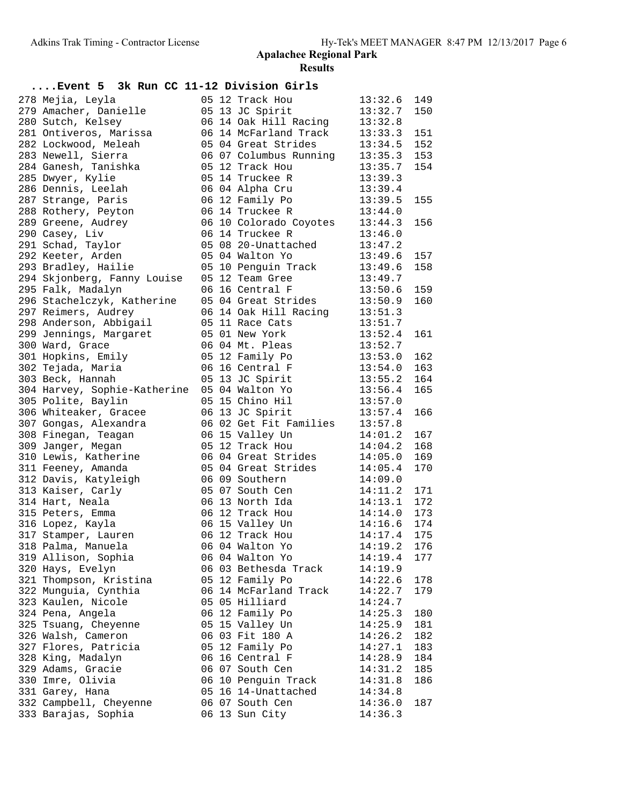| Event 5 3k Run CC 11-12 Division Girls           |  |                                        |                    |     |
|--------------------------------------------------|--|----------------------------------------|--------------------|-----|
| 278 Mejia, Leyla                                 |  | 05 12 Track Hou                        | 13:32.6            | 149 |
| 279 Amacher, Danielle                            |  | 05 13 JC Spirit                        | 13:32.7            | 150 |
| 280 Sutch, Kelsey                                |  | 06 14 Oak Hill Racing                  | 13:32.8            |     |
| 281 Ontiveros, Marissa                           |  | 06 14 McFarland Track                  | 13:33.3            | 151 |
| 282 Lockwood, Meleah                             |  | 05 04 Great Strides                    | 13:34.5            | 152 |
| 283 Newell, Sierra                               |  | 06 07 Columbus Running                 | 13:35.3            | 153 |
| 284 Ganesh, Tanishka                             |  | 05 12 Track Hou                        | 13:35.7            | 154 |
| 285 Dwyer, Kylie                                 |  | 05 14 Truckee R                        | 13:39.3            |     |
| 286 Dennis, Leelah                               |  | 06 04 Alpha Cru                        | 13:39.4            |     |
| 287 Strange, Paris                               |  | 06 12 Family Po                        | 13:39.5            | 155 |
| 288 Rothery, Peyton                              |  | 06 14 Truckee R                        | 13:44.0            |     |
| 289 Greene, Audrey                               |  | 06 10 Colorado Coyotes                 | 13:44.3            | 156 |
| 290 Casey, Liv                                   |  | 06 14 Truckee R                        | 13:46.0            |     |
| 291 Schad, Taylor                                |  | 05 08 20-Unattached                    | 13:47.2            |     |
| 292 Keeter, Arden                                |  | 05 04 Walton Yo                        | 13:49.6            | 157 |
| 293 Bradley, Hailie                              |  | 05 10 Penguin Track                    | 13:49.6            | 158 |
| 294 Skjonberg, Fanny Louise                      |  | 05 12 Team Gree                        | 13:49.7            |     |
| 295 Falk, Madalyn                                |  | 06 16 Central F                        | 13:50.6            | 159 |
| 296 Stachelczyk, Katherine                       |  | 05 04 Great Strides                    | 13:50.9            | 160 |
| 297 Reimers, Audrey                              |  | 06 14 Oak Hill Racing                  | 13:51.3            |     |
| 298 Anderson, Abbigail                           |  | 05 11 Race Cats                        | 13:51.7            |     |
| 299 Jennings, Margaret                           |  | 05 01 New York                         | 13:52.4            | 161 |
| 300 Ward, Grace                                  |  | 06 04 Mt. Pleas                        | 13:52.7            |     |
| 301 Hopkins, Emily                               |  | 05 12 Family Po                        | 13:53.0            | 162 |
|                                                  |  | 06 16 Central F                        |                    | 163 |
| 302 Tejada, Maria                                |  | 05 13 JC Spirit                        | 13:54.0            | 164 |
| 303 Beck, Hannah<br>304 Harvey, Sophie-Katherine |  |                                        | 13:55.2            | 165 |
|                                                  |  | 05 04 Walton Yo<br>05 15 Chino Hil     | 13:56.4<br>13:57.0 |     |
| 305 Polite, Baylin                               |  |                                        |                    |     |
| 306 Whiteaker, Gracee                            |  | 06 13 JC Spirit                        | 13:57.4            | 166 |
| 307 Gongas, Alexandra                            |  | 06 02 Get Fit Families                 | 13:57.8            |     |
| 308 Finegan, Teagan                              |  | 06 15 Valley Un                        | 14:01.2            | 167 |
| 309 Janger, Megan                                |  | 05 12 Track Hou<br>06 04 Great Strides | 14:04.2            | 168 |
| 310 Lewis, Katherine                             |  |                                        | 14:05.0            | 169 |
| 311 Feeney, Amanda                               |  | 05 04 Great Strides                    | 14:05.4            | 170 |
| 312 Davis, Katyleigh                             |  | 06 09 Southern                         | 14:09.0            |     |
| 313 Kaiser, Carly                                |  | 05 07 South Cen                        | 14:11.2            | 171 |
| 314 Hart, Neala                                  |  | 06 13 North Ida                        | 14:13.1            | 172 |
| 315 Peters, Emma                                 |  | 06 12 Track Hou                        | 14:14.0            | 173 |
| 316 Lopez, Kayla                                 |  | 06 15 Valley Un                        | 14:16.6            | 174 |
| 317 Stamper, Lauren                              |  | 06 12 Track Hou                        | $14:17.4$ 175      |     |
| 318 Palma, Manuela                               |  | 06 04 Walton Yo                        | 14:19.2            | 176 |
| 319 Allison, Sophia                              |  | 06 04 Walton Yo                        | 14:19.4            | 177 |
| 320 Hays, Evelyn                                 |  | 06 03 Bethesda Track                   | 14:19.9            |     |
| 321 Thompson, Kristina                           |  | 05 12 Family Po                        | 14:22.6            | 178 |
| 322 Munguia, Cynthia                             |  | 06 14 McFarland Track                  | 14:22.7            | 179 |
| 323 Kaulen, Nicole                               |  | 05 05 Hilliard                         | 14:24.7            |     |
| 324 Pena, Angela                                 |  | 06 12 Family Po                        | 14:25.3            | 180 |
| 325 Tsuang, Cheyenne                             |  | 05 15 Valley Un                        | 14:25.9            | 181 |
| 326 Walsh, Cameron                               |  | 06 03 Fit 180 A                        | 14:26.2            | 182 |
| 327 Flores, Patricia                             |  | 05 12 Family Po                        | 14:27.1            | 183 |
| 328 King, Madalyn                                |  | 06 16 Central F                        | 14:28.9            | 184 |
| 329 Adams, Gracie                                |  | 06 07 South Cen                        | 14:31.2            | 185 |
| 330 Imre, Olivia                                 |  | 06 10 Penguin Track                    | 14:31.8            | 186 |
| 331 Garey, Hana                                  |  | 05 16 14-Unattached                    | 14:34.8            |     |
| 332 Campbell, Cheyenne                           |  | 06 07 South Cen                        | 14:36.0            | 187 |
| 333 Barajas, Sophia                              |  | 06 13 Sun City                         | 14:36.3            |     |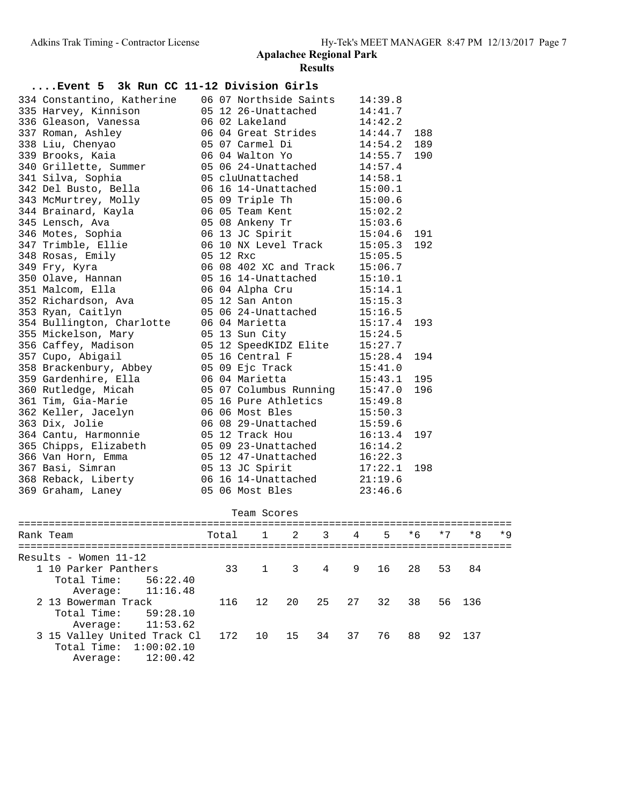| Event 5 3k Run CC 11-12 Division Girls |  |                        |         |     |
|----------------------------------------|--|------------------------|---------|-----|
| 334 Constantino, Katherine             |  | 06 07 Northside Saints | 14:39.8 |     |
| 335 Harvey, Kinnison                   |  | 05 12 26-Unattached    | 14:41.7 |     |
| 336 Gleason, Vanessa                   |  | 06 02 Lakeland         | 14:42.2 |     |
| 337 Roman, Ashley                      |  | 06 04 Great Strides    | 14:44.7 | 188 |
| 338 Liu, Chenyao                       |  | 05 07 Carmel Di        | 14:54.2 | 189 |
| 339 Brooks, Kaia                       |  | 06 04 Walton Yo        | 14:55.7 | 190 |
| 340 Grillette, Summer                  |  | 05 06 24-Unattached    | 14:57.4 |     |
| 341 Silva, Sophia                      |  | 05 cluUnattached       | 14:58.1 |     |
| 342 Del Busto, Bella                   |  | 06 16 14-Unattached    | 15:00.1 |     |
| 343 McMurtrey, Molly                   |  | 05 09 Triple Th        | 15:00.6 |     |
| 344 Brainard, Kayla                    |  | 06 05 Team Kent        | 15:02.2 |     |
| 345 Lensch, Ava                        |  | 05 08 Ankeny Tr        | 15:03.6 |     |
| 346 Motes, Sophia                      |  | 06 13 JC Spirit        | 15:04.6 | 191 |
| 347 Trimble, Ellie                     |  | 06 10 NX Level Track   | 15:05.3 | 192 |
| 348 Rosas, Emily                       |  | 05 12 Rxc              | 15:05.5 |     |
| 349 Fry, Kyra                          |  | 06 08 402 XC and Track | 15:06.7 |     |
| 350 Olave, Hannan                      |  | 05 16 14-Unattached    | 15:10.1 |     |
| 351 Malcom, Ella                       |  | 06 04 Alpha Cru        | 15:14.1 |     |
| 352 Richardson, Ava                    |  | 05 12 San Anton        | 15:15.3 |     |
| 353 Ryan, Caitlyn                      |  | 05 06 24-Unattached    | 15:16.5 |     |
| 354 Bullington, Charlotte              |  | 06 04 Marietta         | 15:17.4 | 193 |
| 355 Mickelson, Mary                    |  | 05 13 Sun City         | 15:24.5 |     |
| 356 Caffey, Madison                    |  | 05 12 SpeedKIDZ Elite  | 15:27.7 |     |
| 357 Cupo, Abigail                      |  | 05 16 Central F        | 15:28.4 | 194 |
| 358 Brackenbury, Abbey                 |  | 05 09 Ejc Track        | 15:41.0 |     |
| 359 Gardenhire, Ella                   |  | 06 04 Marietta         | 15:43.1 | 195 |
| 360 Rutledge, Micah                    |  | 05 07 Columbus Running | 15:47.0 | 196 |
| 361 Tim, Gia-Marie                     |  | 05 16 Pure Athletics   | 15:49.8 |     |
| 362 Keller, Jacelyn                    |  | 06 06 Most Bles        | 15:50.3 |     |
| 363 Dix, Jolie                         |  | 06 08 29-Unattached    | 15:59.6 |     |
| 364 Cantu, Harmonnie                   |  | 05 12 Track Hou        | 16:13.4 | 197 |
| 365 Chipps, Elizabeth                  |  | 05 09 23-Unattached    | 16:14.2 |     |
| 366 Van Horn, Emma                     |  | 05 12 47-Unattached    | 16:22.3 |     |
| 367 Basi, Simran                       |  | 05 13 JC Spirit        | 17:22.1 | 198 |
| 368 Reback, Liberty                    |  | 06 16 14-Unattached    | 21:19.6 |     |
| 369 Graham, Laney                      |  | 05 06 Most Bles        | 23:46.6 |     |
|                                        |  |                        |         |     |

| Team Scores                 |       |     |             |                         |                 |       |      |      |      |      |
|-----------------------------|-------|-----|-------------|-------------------------|-----------------|-------|------|------|------|------|
| Rank Team                   | Total |     | $1 \quad 2$ | $\overline{\mathbf{3}}$ | $4\overline{ }$ | 5     | $*6$ | $*7$ | $*8$ | $*9$ |
| Results - Women 11-12       |       |     |             |                         |                 |       |      |      |      |      |
| 1 10 Parker Panthers        | 33    | 1 3 |             |                         | 4 9             | 16    | 28   | 53   | 84   |      |
| Total Time:<br>56:22.40     |       |     |             |                         |                 |       |      |      |      |      |
| 11:16.48<br>Average:        |       |     |             |                         |                 |       |      |      |      |      |
| 2 13 Bowerman Track         | 116   | 12  | 20          | 25                      |                 | 27 32 | 38   | 56   | 136  |      |
| Total Time:<br>59:28.10     |       |     |             |                         |                 |       |      |      |      |      |
| 11:53.62<br>Average:        |       |     |             |                         |                 |       |      |      |      |      |
| 3 15 Valley United Track Cl | 172   | 10  | 15 34       |                         | 37              | 76    | 88   | 92   | 137  |      |
| Total Time: $1:00:02.10$    |       |     |             |                         |                 |       |      |      |      |      |
| 12:00.42<br>Average:        |       |     |             |                         |                 |       |      |      |      |      |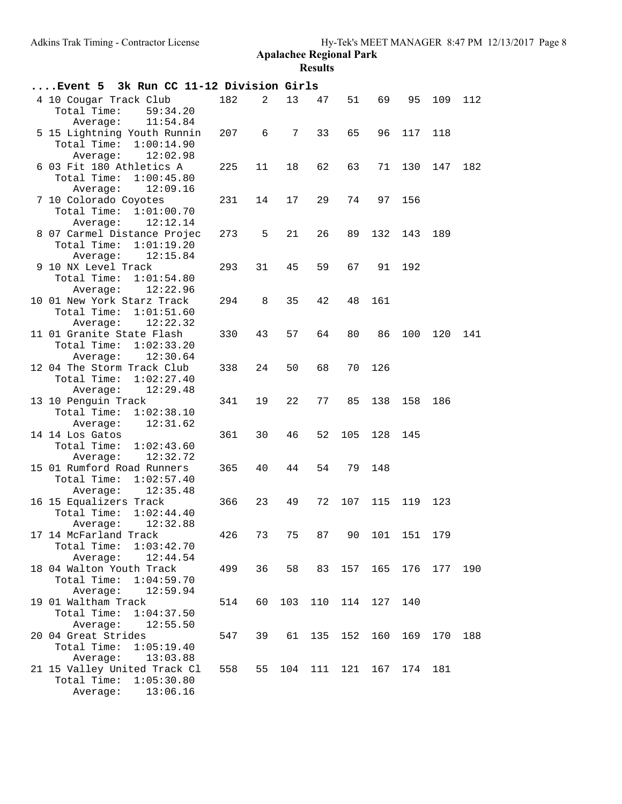| Event 5 3k Run CC 11-12 Division Girls                                                                 |     |    |                 |         |     |            |     |     |     |
|--------------------------------------------------------------------------------------------------------|-----|----|-----------------|---------|-----|------------|-----|-----|-----|
| 4 10 Cougar Track Club<br>Total Time:<br>59:34.20                                                      | 182 | 2  | 13              | 47      | 51  | 69         | 95  | 109 | 112 |
| 11:54.84<br>Average:<br>5 15 Lightning Youth Runnin                                                    | 207 | 6  | $7\overline{ }$ | 33      | 65  | 96         | 117 | 118 |     |
| Total Time:<br>1:00:14.90<br>Average:<br>12:02.98                                                      |     |    |                 |         |     |            |     |     |     |
| 6 03 Fit 180 Athletics A<br>1:00:45.80<br>Total Time:<br>12:09.16<br>Average:                          | 225 | 11 | 18              | 62      | 63  | 71         | 130 | 147 | 182 |
| 7 10 Colorado Coyotes<br>Total Time:<br>1:01:00.70<br>Average:<br>12:12.14                             | 231 | 14 | 17              | 29      | 74  | 97         | 156 |     |     |
| 8 07 Carmel Distance Projec<br>Total Time:<br>1:01:19.20<br>12:15.84<br>Average:                       | 273 | 5  | 21              | 26      | 89  | 132        | 143 | 189 |     |
| 9 10 NX Level Track<br>Total Time:<br>1:01:54.80<br>Average:<br>12:22.96                               | 293 | 31 | 45              | 59      | 67  | 91         | 192 |     |     |
| 10 01 New York Starz Track<br>Total Time:<br>1:01:51.60                                                | 294 | 8  | 35              | 42      | 48  | 161        |     |     |     |
| 12:22.32<br>Average:<br>11 01 Granite State Flash<br>Total Time:<br>1:02:33.20<br>12:30.64<br>Average: | 330 | 43 | 57              | 64      | 80  | 86         | 100 | 120 | 141 |
| 12 04 The Storm Track Club<br>Total Time:<br>1:02:27.40<br>12:29.48<br>Average:                        | 338 | 24 | 50              | 68      | 70  | 126        |     |     |     |
| 13 10 Penguin Track<br>Total Time:<br>1:02:38.10<br>Average:<br>12:31.62                               | 341 | 19 | 22              | 77      | 85  | 138        | 158 | 186 |     |
| 14 14 Los Gatos<br>Total Time:<br>1:02:43.60<br>12:32.72<br>Average:                                   | 361 | 30 | 46              | 52      | 105 | 128        | 145 |     |     |
| 15 01 Rumford Road Runners<br>Total Time:<br>1:02:57.40<br>12:35.48<br>Average:                        | 365 | 40 | 44              | 54      | 79  | 148        |     |     |     |
| 16 15 Equalizers Track<br>Total Time:<br>1:02:44.40<br>12:32.88<br>Average:                            | 366 | 23 | 49              | 72      | 107 | 115        | 119 | 123 |     |
| 17 14 McFarland Track<br>Total Time:<br>1:03:42.70<br>Average:<br>12:44.54                             | 426 | 73 | 75              | 87      |     | 90 101 151 |     | 179 |     |
| 18 04 Walton Youth Track<br>Total Time:<br>1:04:59.70<br>Average:<br>12:59.94                          | 499 | 36 | 58              | 83      | 157 | 165        | 176 | 177 | 190 |
| 19 01 Waltham Track<br>Total Time:<br>1:04:37.50<br>Average:<br>12:55.50                               | 514 | 60 | 103             | 110     | 114 | 127        | 140 |     |     |
| 20 04 Great Strides<br>Total Time:<br>1:05:19.40<br>Average:<br>13:03.88                               | 547 | 39 | 61              | 135     | 152 | 160        | 169 | 170 | 188 |
| 21 15 Valley United Track Cl<br>Total Time:<br>1:05:30.80<br>13:06.16<br>Average:                      | 558 | 55 |                 | 104 111 | 121 | 167        | 174 | 181 |     |